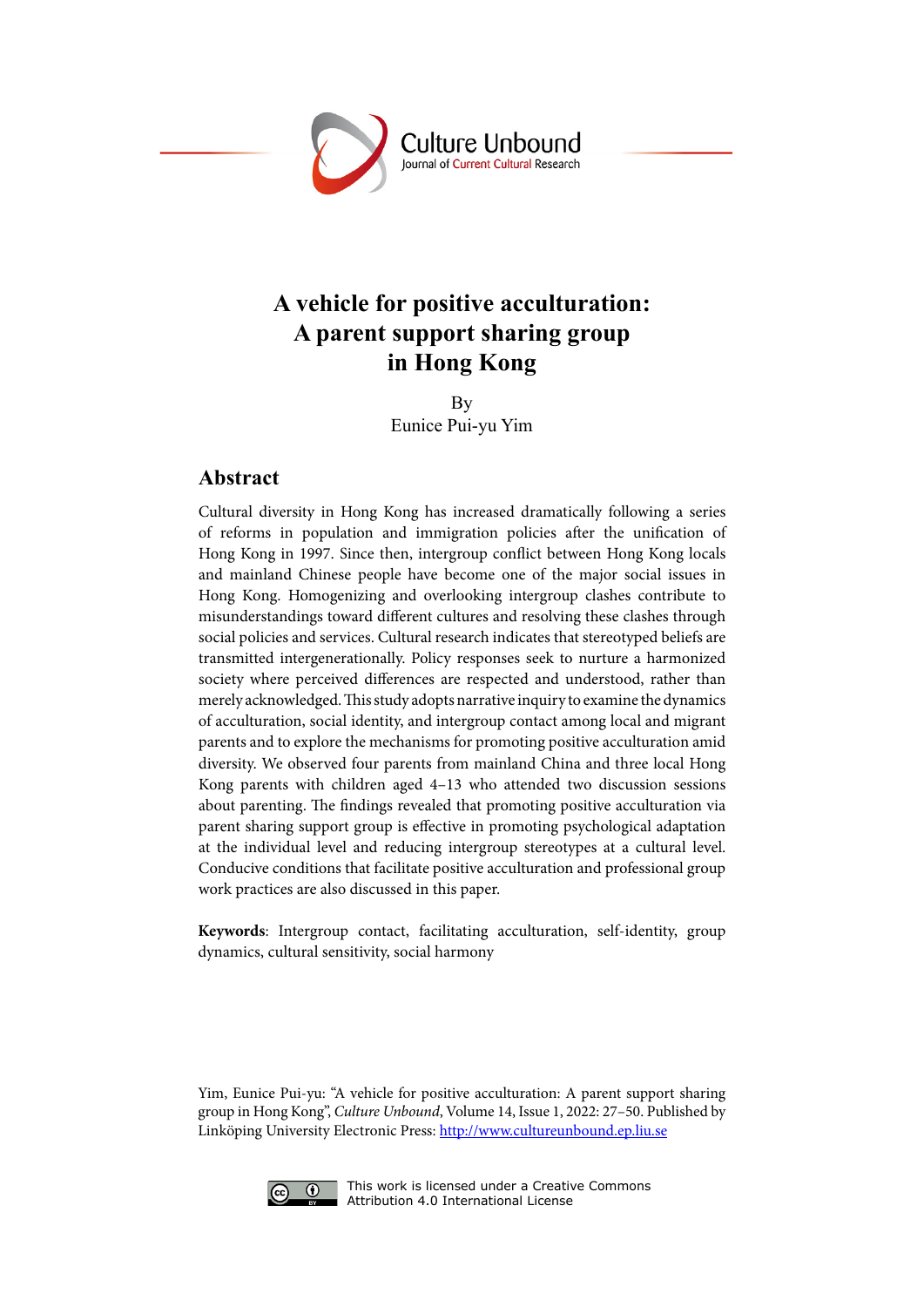

# **A vehicle for positive acculturation: A parent support sharing group in Hong Kong**

By Eunice Pui-yu Yim

### **Abstract**

Cultural diversity in Hong Kong has increased dramatically following a series of reforms in population and immigration policies after the unification of Hong Kong in 1997. Since then, intergroup conflict between Hong Kong locals and mainland Chinese people have become one of the major social issues in Hong Kong. Homogenizing and overlooking intergroup clashes contribute to misunderstandings toward different cultures and resolving these clashes through social policies and services. Cultural research indicates that stereotyped beliefs are transmitted intergenerationally. Policy responses seek to nurture a harmonized society where perceived differences are respected and understood, rather than merely acknowledged. This study adopts narrative inquiry to examine the dynamics of acculturation, social identity, and intergroup contact among local and migrant parents and to explore the mechanisms for promoting positive acculturation amid diversity. We observed four parents from mainland China and three local Hong Kong parents with children aged 4–13 who attended two discussion sessions about parenting. The findings revealed that promoting positive acculturation via parent sharing support group is effective in promoting psychological adaptation at the individual level and reducing intergroup stereotypes at a cultural level. Conducive conditions that facilitate positive acculturation and professional group work practices are also discussed in this paper.

**Keywords**: Intergroup contact, facilitating acculturation, self-identity, group dynamics, cultural sensitivity, social harmony

Yim, Eunice Pui-yu: "A vehicle for positive acculturation: A parent support sharing group in Hong Kong", *Culture Unbound*, Volume 14, Issue 1, 2022: 27–50. Published by Linköping University Electronic Press: [http://www.cultureunbound.ep.liu.se](http://www.cultureunbound.ep.liu.se )



This work is licensed under a Creative Commons Attribution 4.0 International License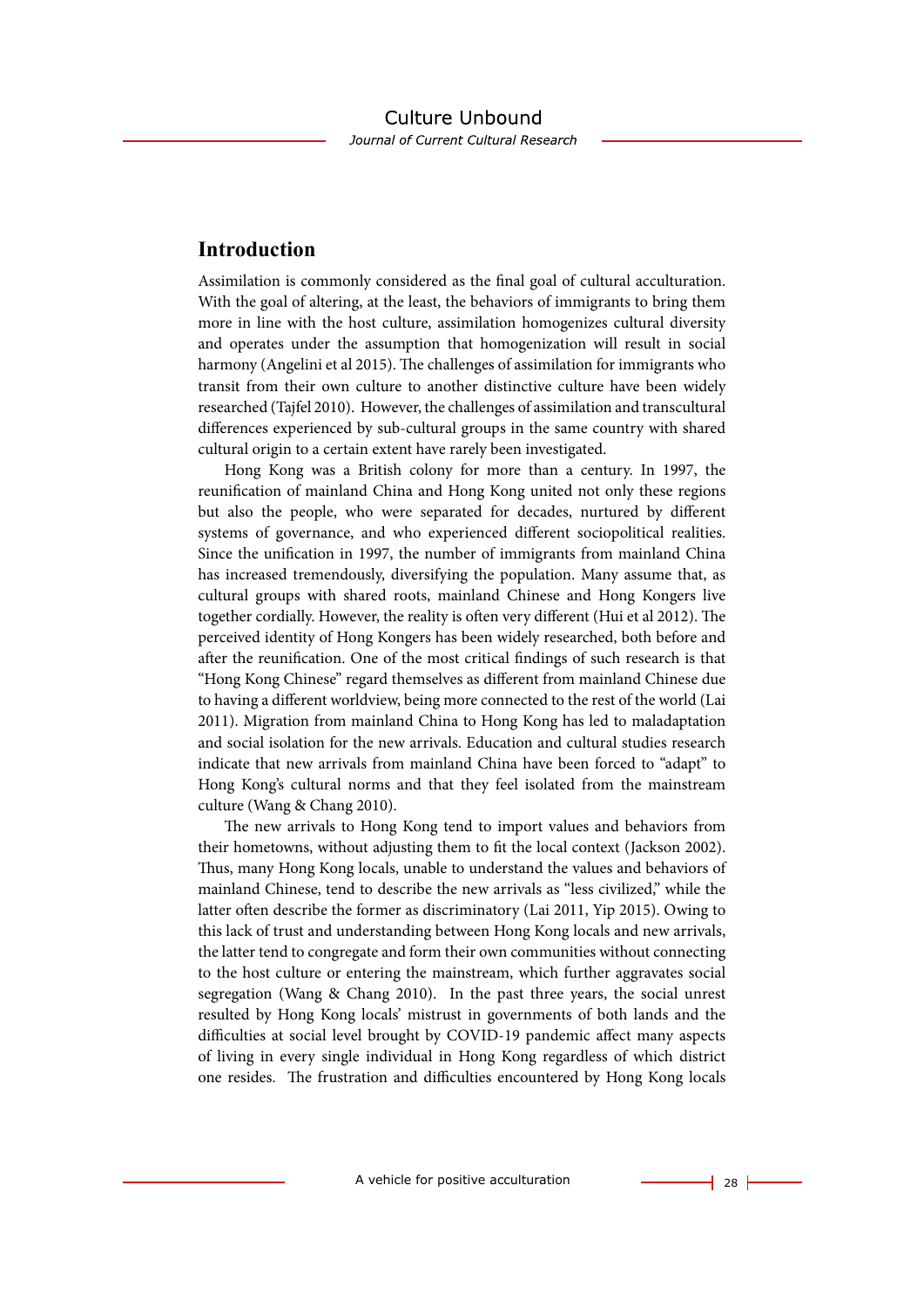### **Introduction**

Assimilation is commonly considered as the final goal of cultural acculturation. With the goal of altering, at the least, the behaviors of immigrants to bring them more in line with the host culture, assimilation homogenizes cultural diversity and operates under the assumption that homogenization will result in social harmony (Angelini et al 2015). The challenges of assimilation for immigrants who transit from their own culture to another distinctive culture have been widely researched (Tajfel 2010). However, the challenges of assimilation and transcultural differences experienced by sub-cultural groups in the same country with shared cultural origin to a certain extent have rarely been investigated.

Hong Kong was a British colony for more than a century. In 1997, the reunification of mainland China and Hong Kong united not only these regions but also the people, who were separated for decades, nurtured by different systems of governance, and who experienced different sociopolitical realities. Since the unification in 1997, the number of immigrants from mainland China has increased tremendously, diversifying the population. Many assume that, as cultural groups with shared roots, mainland Chinese and Hong Kongers live together cordially. However, the reality is often very different (Hui et al 2012). The perceived identity of Hong Kongers has been widely researched, both before and after the reunification. One of the most critical findings of such research is that "Hong Kong Chinese" regard themselves as different from mainland Chinese due to having a different worldview, being more connected to the rest of the world (Lai 2011). Migration from mainland China to Hong Kong has led to maladaptation and social isolation for the new arrivals. Education and cultural studies research indicate that new arrivals from mainland China have been forced to "adapt" to Hong Kong's cultural norms and that they feel isolated from the mainstream culture (Wang & Chang 2010).

The new arrivals to Hong Kong tend to import values and behaviors from their hometowns, without adjusting them to fit the local context (Jackson 2002). Thus, many Hong Kong locals, unable to understand the values and behaviors of mainland Chinese, tend to describe the new arrivals as "less civilized," while the latter often describe the former as discriminatory (Lai 2011, Yip 2015). Owing to this lack of trust and understanding between Hong Kong locals and new arrivals, the latter tend to congregate and form their own communities without connecting to the host culture or entering the mainstream, which further aggravates social segregation (Wang & Chang 2010). In the past three years, the social unrest resulted by Hong Kong locals' mistrust in governments of both lands and the difficulties at social level brought by COVID-19 pandemic affect many aspects of living in every single individual in Hong Kong regardless of which district one resides. The frustration and difficulties encountered by Hong Kong locals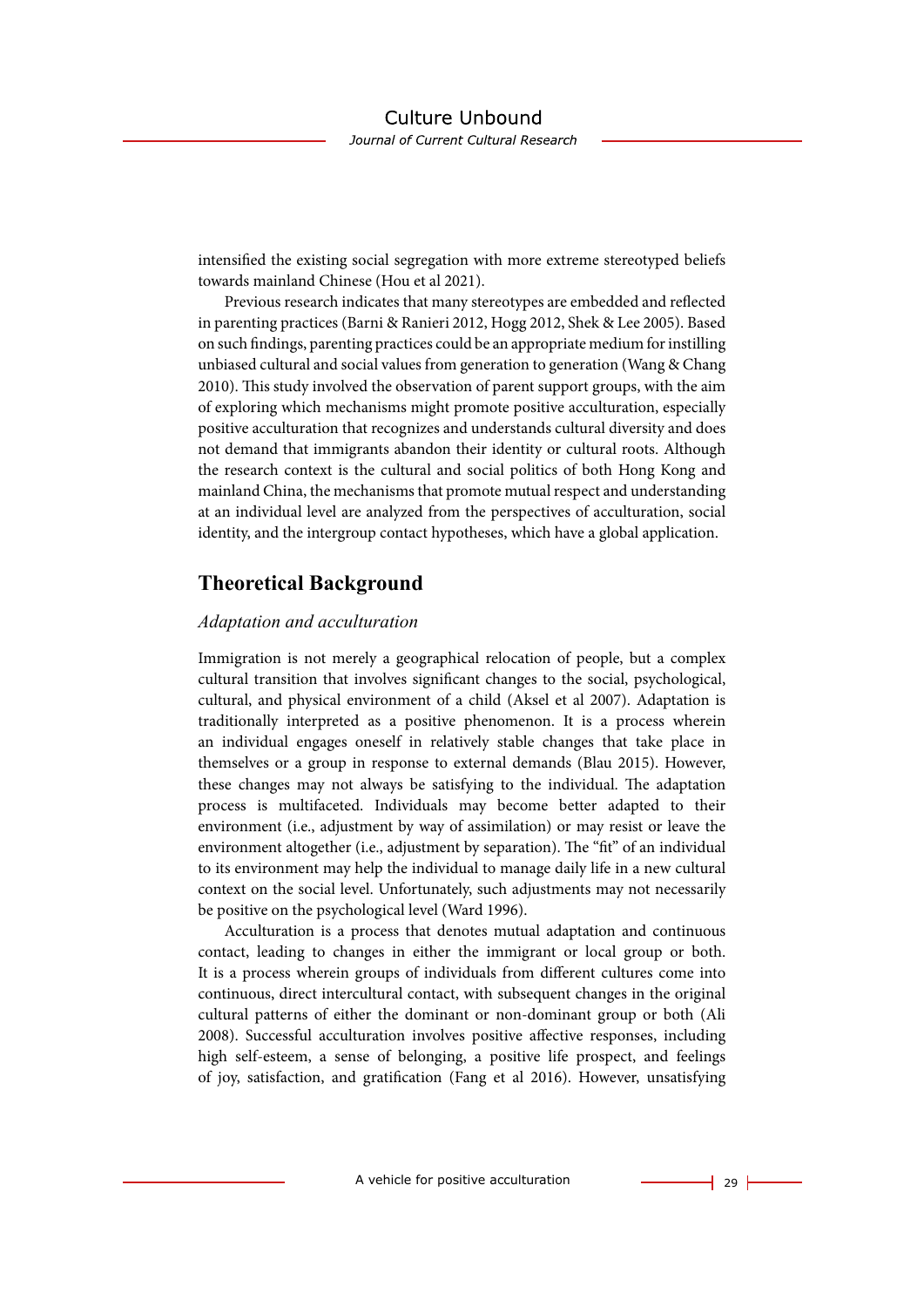intensified the existing social segregation with more extreme stereotyped beliefs towards mainland Chinese (Hou et al 2021).

Previous research indicates that many stereotypes are embedded and reflected in parenting practices (Barni & Ranieri 2012, Hogg 2012, Shek & Lee 2005). Based on such findings, parenting practices could be an appropriate medium for instilling unbiased cultural and social values from generation to generation (Wang & Chang 2010). This study involved the observation of parent support groups, with the aim of exploring which mechanisms might promote positive acculturation, especially positive acculturation that recognizes and understands cultural diversity and does not demand that immigrants abandon their identity or cultural roots. Although the research context is the cultural and social politics of both Hong Kong and mainland China, the mechanisms that promote mutual respect and understanding at an individual level are analyzed from the perspectives of acculturation, social identity, and the intergroup contact hypotheses, which have a global application.

## **Theoretical Background**

#### *Adaptation and acculturation*

Immigration is not merely a geographical relocation of people, but a complex cultural transition that involves significant changes to the social, psychological, cultural, and physical environment of a child (Aksel et al 2007). Adaptation is traditionally interpreted as a positive phenomenon. It is a process wherein an individual engages oneself in relatively stable changes that take place in themselves or a group in response to external demands (Blau 2015). However, these changes may not always be satisfying to the individual. The adaptation process is multifaceted. Individuals may become better adapted to their environment (i.e., adjustment by way of assimilation) or may resist or leave the environment altogether (i.e., adjustment by separation). The "fit" of an individual to its environment may help the individual to manage daily life in a new cultural context on the social level. Unfortunately, such adjustments may not necessarily be positive on the psychological level (Ward 1996).

Acculturation is a process that denotes mutual adaptation and continuous contact, leading to changes in either the immigrant or local group or both. It is a process wherein groups of individuals from different cultures come into continuous, direct intercultural contact, with subsequent changes in the original cultural patterns of either the dominant or non-dominant group or both (Ali 2008). Successful acculturation involves positive affective responses, including high self-esteem, a sense of belonging, a positive life prospect, and feelings of joy, satisfaction, and gratification (Fang et al 2016). However, unsatisfying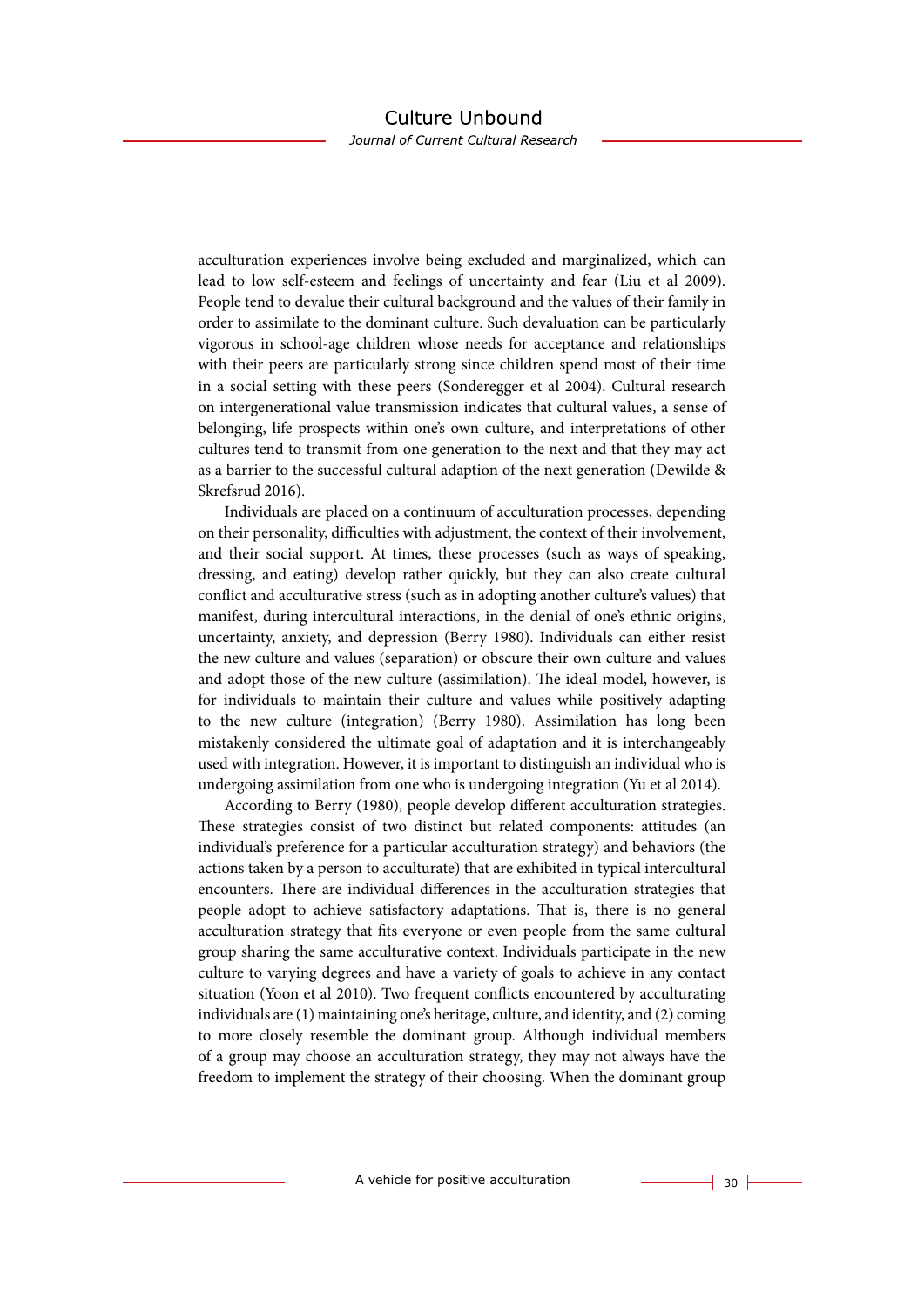Journal of Current Cultural Research

acculturation experiences involve being excluded and marginalized, which can lead to low self-esteem and feelings of uncertainty and fear (Liu et al 2009). People tend to devalue their cultural background and the values of their family in order to assimilate to the dominant culture. Such devaluation can be particularly vigorous in school-age children whose needs for acceptance and relationships with their peers are particularly strong since children spend most of their time in a social setting with these peers (Sonderegger et al 2004). Cultural research on intergenerational value transmission indicates that cultural values, a sense of belonging, life prospects within one's own culture, and interpretations of other cultures tend to transmit from one generation to the next and that they may act as a barrier to the successful cultural adaption of the next generation (Dewilde & Skrefsrud 2016).

Individuals are placed on a continuum of acculturation processes, depending on their personality, difficulties with adjustment, the context of their involvement, and their social support. At times, these processes (such as ways of speaking, dressing, and eating) develop rather quickly, but they can also create cultural conflict and acculturative stress (such as in adopting another culture's values) that manifest, during intercultural interactions, in the denial of one's ethnic origins, uncertainty, anxiety, and depression (Berry 1980). Individuals can either resist the new culture and values (separation) or obscure their own culture and values and adopt those of the new culture (assimilation). The ideal model, however, is for individuals to maintain their culture and values while positively adapting to the new culture (integration) (Berry 1980). Assimilation has long been mistakenly considered the ultimate goal of adaptation and it is interchangeably used with integration. However, it is important to distinguish an individual who is undergoing assimilation from one who is undergoing integration (Yu et al 2014).

According to Berry (1980), people develop different acculturation strategies. These strategies consist of two distinct but related components: attitudes (an individual's preference for a particular acculturation strategy) and behaviors (the actions taken by a person to acculturate) that are exhibited in typical intercultural encounters. There are individual differences in the acculturation strategies that people adopt to achieve satisfactory adaptations. That is, there is no general acculturation strategy that fits everyone or even people from the same cultural group sharing the same acculturative context. Individuals participate in the new culture to varying degrees and have a variety of goals to achieve in any contact situation (Yoon et al 2010). Two frequent conflicts encountered by acculturating individuals are (1) maintaining one's heritage, culture, and identity, and (2) coming to more closely resemble the dominant group. Although individual members of a group may choose an acculturation strategy, they may not always have the freedom to implement the strategy of their choosing. When the dominant group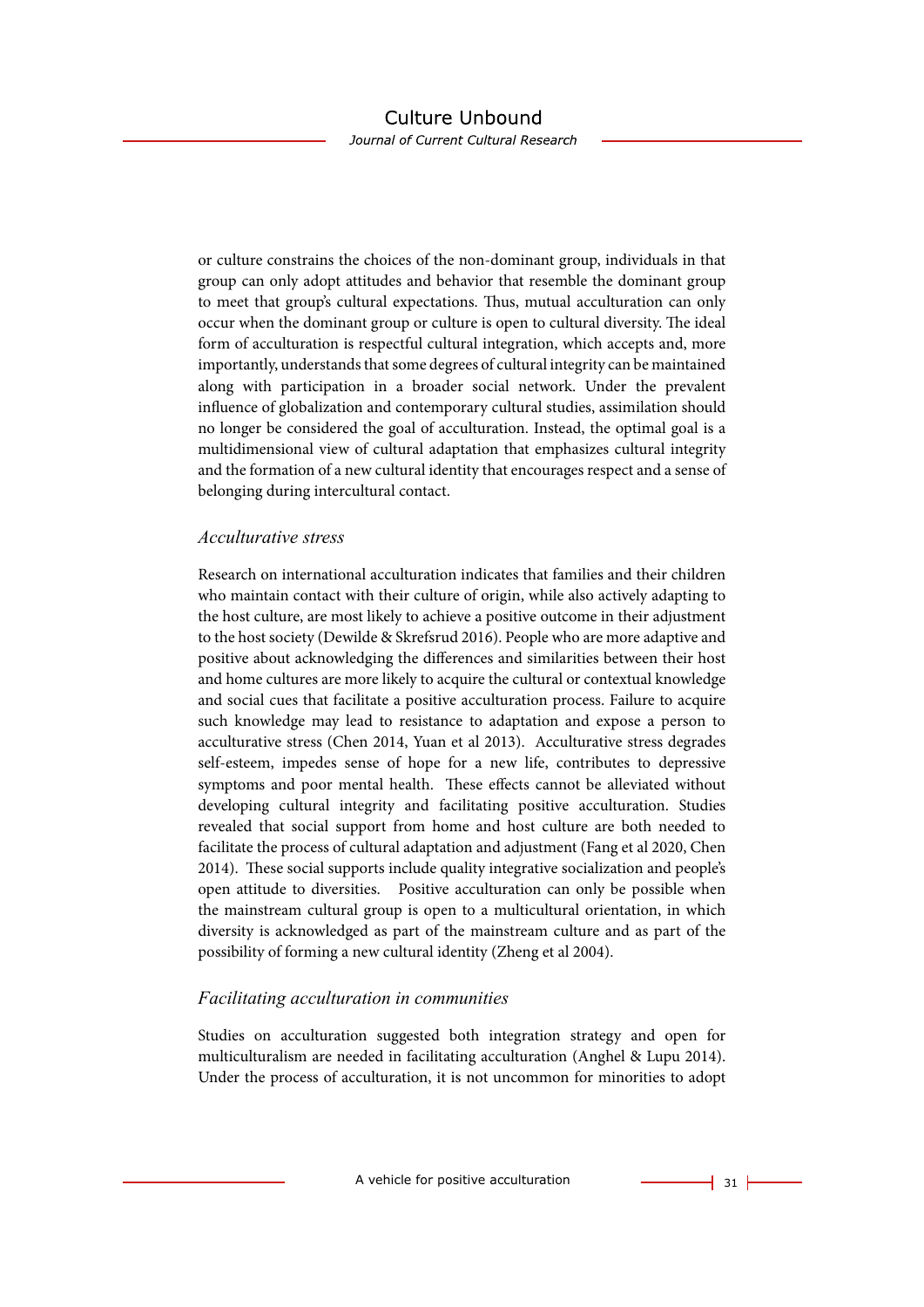Journal of Current Cultural Research

or culture constrains the choices of the non-dominant group, individuals in that group can only adopt attitudes and behavior that resemble the dominant group to meet that group's cultural expectations. Thus, mutual acculturation can only occur when the dominant group or culture is open to cultural diversity. The ideal form of acculturation is respectful cultural integration, which accepts and, more importantly, understands that some degrees of cultural integrity can be maintained along with participation in a broader social network. Under the prevalent influence of globalization and contemporary cultural studies, assimilation should no longer be considered the goal of acculturation. Instead, the optimal goal is a multidimensional view of cultural adaptation that emphasizes cultural integrity and the formation of a new cultural identity that encourages respect and a sense of belonging during intercultural contact.

#### *Acculturative stress*

Research on international acculturation indicates that families and their children who maintain contact with their culture of origin, while also actively adapting to the host culture, are most likely to achieve a positive outcome in their adjustment to the host society (Dewilde & Skrefsrud 2016). People who are more adaptive and positive about acknowledging the differences and similarities between their host and home cultures are more likely to acquire the cultural or contextual knowledge and social cues that facilitate a positive acculturation process. Failure to acquire such knowledge may lead to resistance to adaptation and expose a person to acculturative stress (Chen 2014, Yuan et al 2013). Acculturative stress degrades self-esteem, impedes sense of hope for a new life, contributes to depressive symptoms and poor mental health. These effects cannot be alleviated without developing cultural integrity and facilitating positive acculturation. Studies revealed that social support from home and host culture are both needed to facilitate the process of cultural adaptation and adjustment (Fang et al 2020, Chen 2014). These social supports include quality integrative socialization and people's open attitude to diversities. Positive acculturation can only be possible when the mainstream cultural group is open to a multicultural orientation, in which diversity is acknowledged as part of the mainstream culture and as part of the possibility of forming a new cultural identity (Zheng et al 2004).

### *Facilitating acculturation in communities*

Studies on acculturation suggested both integration strategy and open for multiculturalism are needed in facilitating acculturation (Anghel & Lupu 2014). Under the process of acculturation, it is not uncommon for minorities to adopt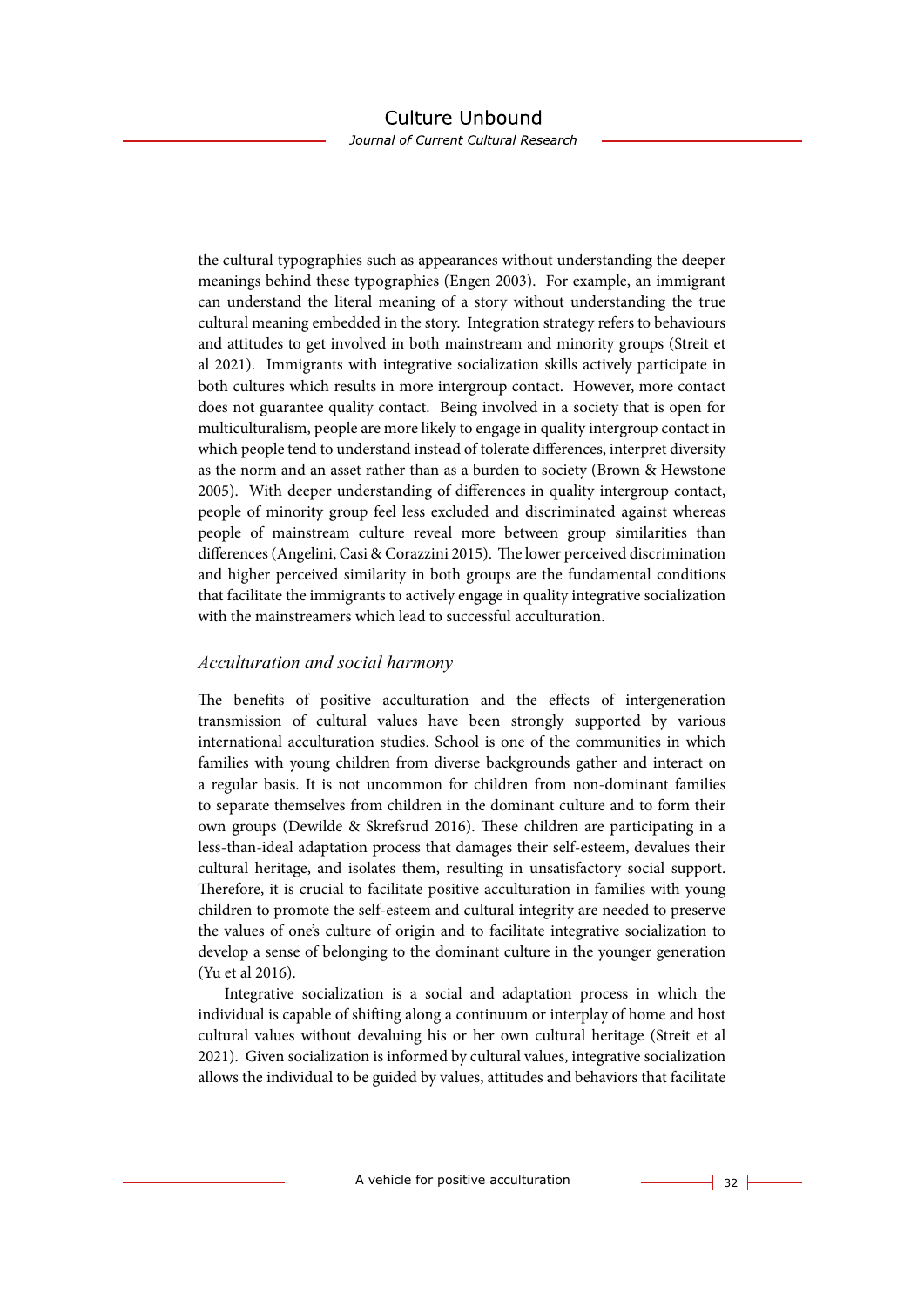Journal of Current Cultural Research

the cultural typographies such as appearances without understanding the deeper meanings behind these typographies (Engen 2003). For example, an immigrant can understand the literal meaning of a story without understanding the true cultural meaning embedded in the story. Integration strategy refers to behaviours and attitudes to get involved in both mainstream and minority groups (Streit et al 2021). Immigrants with integrative socialization skills actively participate in both cultures which results in more intergroup contact. However, more contact does not guarantee quality contact. Being involved in a society that is open for multiculturalism, people are more likely to engage in quality intergroup contact in which people tend to understand instead of tolerate differences, interpret diversity as the norm and an asset rather than as a burden to society (Brown & Hewstone 2005). With deeper understanding of differences in quality intergroup contact, people of minority group feel less excluded and discriminated against whereas people of mainstream culture reveal more between group similarities than differences (Angelini, Casi & Corazzini 2015). The lower perceived discrimination and higher perceived similarity in both groups are the fundamental conditions that facilitate the immigrants to actively engage in quality integrative socialization with the mainstreamers which lead to successful acculturation.

#### *Acculturation and social harmony*

The benefits of positive acculturation and the effects of intergeneration transmission of cultural values have been strongly supported by various international acculturation studies. School is one of the communities in which families with young children from diverse backgrounds gather and interact on a regular basis. It is not uncommon for children from non-dominant families to separate themselves from children in the dominant culture and to form their own groups (Dewilde & Skrefsrud 2016). These children are participating in a less-than-ideal adaptation process that damages their self-esteem, devalues their cultural heritage, and isolates them, resulting in unsatisfactory social support. Therefore, it is crucial to facilitate positive acculturation in families with young children to promote the self-esteem and cultural integrity are needed to preserve the values of one's culture of origin and to facilitate integrative socialization to develop a sense of belonging to the dominant culture in the younger generation (Yu et al 2016).

Integrative socialization is a social and adaptation process in which the individual is capable of shifting along a continuum or interplay of home and host cultural values without devaluing his or her own cultural heritage (Streit et al 2021). Given socialization is informed by cultural values, integrative socialization allows the individual to be guided by values, attitudes and behaviors that facilitate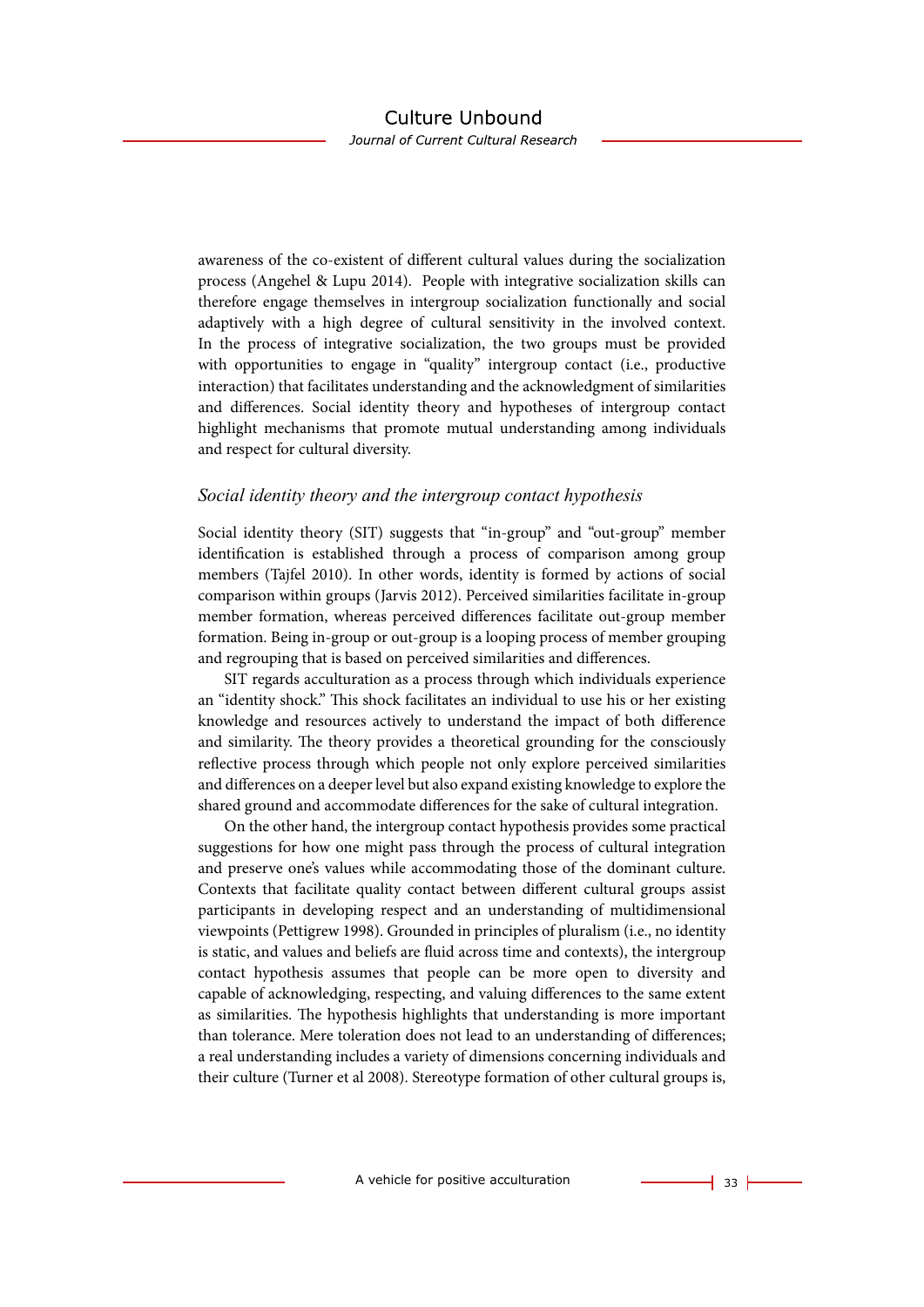awareness of the co-existent of different cultural values during the socialization process (Angehel & Lupu 2014). People with integrative socialization skills can therefore engage themselves in intergroup socialization functionally and social adaptively with a high degree of cultural sensitivity in the involved context. In the process of integrative socialization, the two groups must be provided with opportunities to engage in "quality" intergroup contact (i.e., productive interaction) that facilitates understanding and the acknowledgment of similarities and differences. Social identity theory and hypotheses of intergroup contact highlight mechanisms that promote mutual understanding among individuals and respect for cultural diversity.

#### *Social identity theory and the intergroup contact hypothesis*

Social identity theory (SIT) suggests that "in-group" and "out-group" member identification is established through a process of comparison among group members (Tajfel 2010). In other words, identity is formed by actions of social comparison within groups (Jarvis 2012). Perceived similarities facilitate in-group member formation, whereas perceived differences facilitate out-group member formation. Being in-group or out-group is a looping process of member grouping and regrouping that is based on perceived similarities and differences.

SIT regards acculturation as a process through which individuals experience an "identity shock." This shock facilitates an individual to use his or her existing knowledge and resources actively to understand the impact of both difference and similarity. The theory provides a theoretical grounding for the consciously reflective process through which people not only explore perceived similarities and differences on a deeper level but also expand existing knowledge to explore the shared ground and accommodate differences for the sake of cultural integration.

On the other hand, the intergroup contact hypothesis provides some practical suggestions for how one might pass through the process of cultural integration and preserve one's values while accommodating those of the dominant culture. Contexts that facilitate quality contact between different cultural groups assist participants in developing respect and an understanding of multidimensional viewpoints (Pettigrew 1998). Grounded in principles of pluralism (i.e., no identity is static, and values and beliefs are fluid across time and contexts), the intergroup contact hypothesis assumes that people can be more open to diversity and capable of acknowledging, respecting, and valuing differences to the same extent as similarities. The hypothesis highlights that understanding is more important than tolerance. Mere toleration does not lead to an understanding of differences; a real understanding includes a variety of dimensions concerning individuals and their culture (Turner et al 2008). Stereotype formation of other cultural groups is,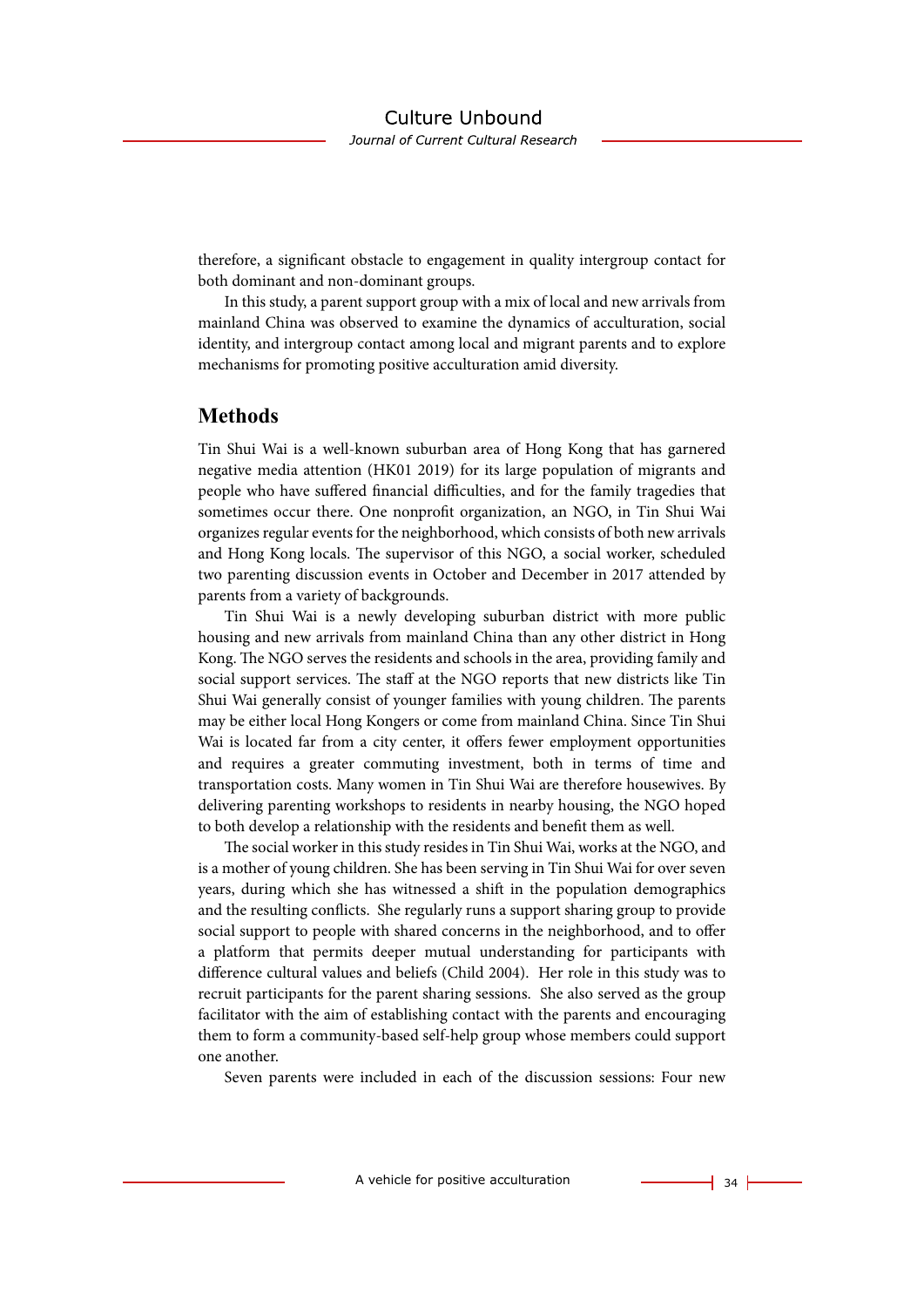therefore, a significant obstacle to engagement in quality intergroup contact for both dominant and non-dominant groups.

In this study, a parent support group with a mix of local and new arrivals from mainland China was observed to examine the dynamics of acculturation, social identity, and intergroup contact among local and migrant parents and to explore mechanisms for promoting positive acculturation amid diversity.

### **Methods**

Tin Shui Wai is a well-known suburban area of Hong Kong that has garnered negative media attention (HK01 2019) for its large population of migrants and people who have suffered financial difficulties, and for the family tragedies that sometimes occur there. One nonprofit organization, an NGO, in Tin Shui Wai organizes regular events for the neighborhood, which consists of both new arrivals and Hong Kong locals. The supervisor of this NGO, a social worker, scheduled two parenting discussion events in October and December in 2017 attended by parents from a variety of backgrounds.

Tin Shui Wai is a newly developing suburban district with more public housing and new arrivals from mainland China than any other district in Hong Kong. The NGO serves the residents and schools in the area, providing family and social support services. The staff at the NGO reports that new districts like Tin Shui Wai generally consist of younger families with young children. The parents may be either local Hong Kongers or come from mainland China. Since Tin Shui Wai is located far from a city center, it offers fewer employment opportunities and requires a greater commuting investment, both in terms of time and transportation costs. Many women in Tin Shui Wai are therefore housewives. By delivering parenting workshops to residents in nearby housing, the NGO hoped to both develop a relationship with the residents and benefit them as well.

The social worker in this study resides in Tin Shui Wai, works at the NGO, and is a mother of young children. She has been serving in Tin Shui Wai for over seven years, during which she has witnessed a shift in the population demographics and the resulting conflicts. She regularly runs a support sharing group to provide social support to people with shared concerns in the neighborhood, and to offer a platform that permits deeper mutual understanding for participants with difference cultural values and beliefs (Child 2004). Her role in this study was to recruit participants for the parent sharing sessions. She also served as the group facilitator with the aim of establishing contact with the parents and encouraging them to form a community-based self-help group whose members could support one another.

Seven parents were included in each of the discussion sessions: Four new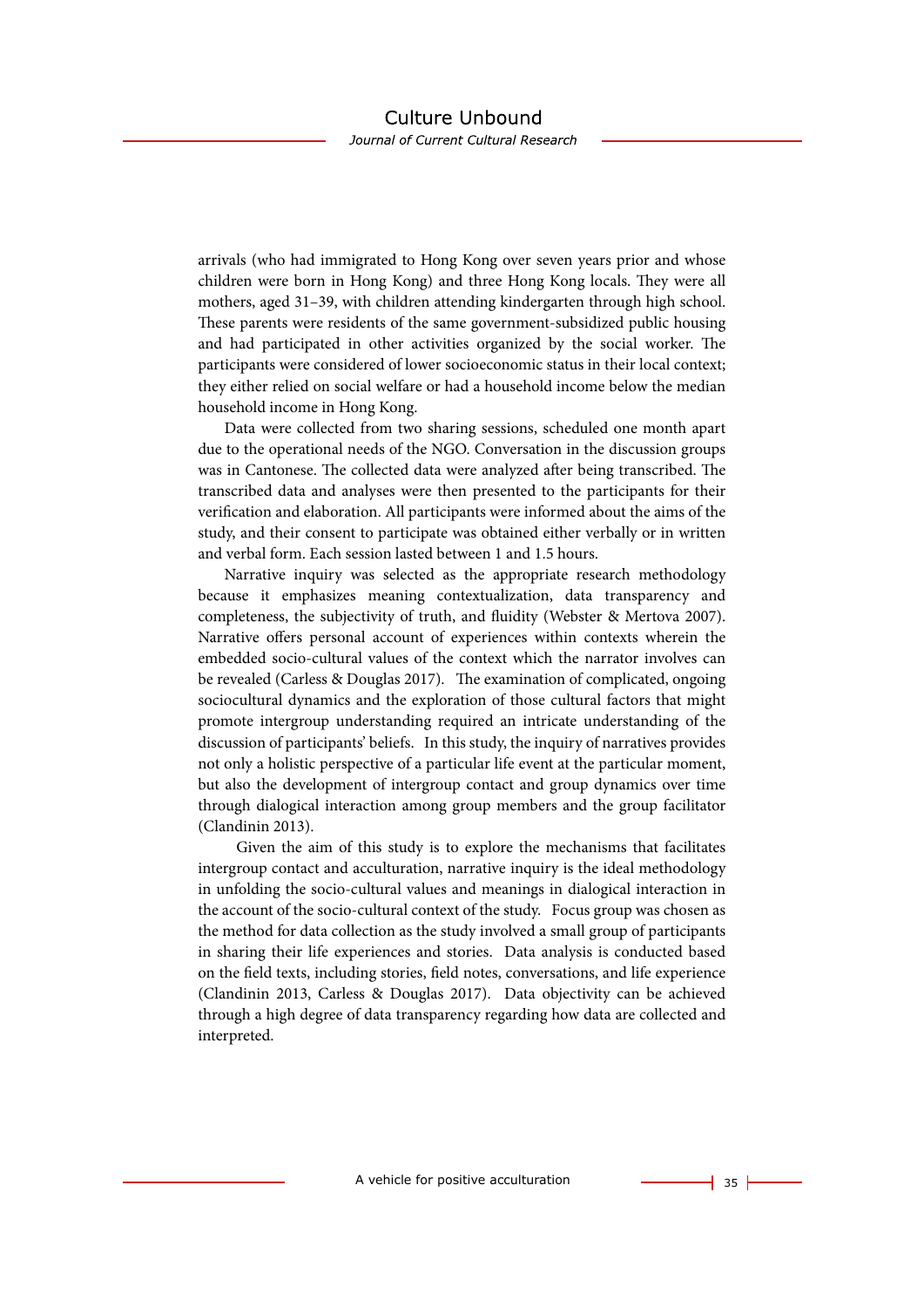arrivals (who had immigrated to Hong Kong over seven years prior and whose children were born in Hong Kong) and three Hong Kong locals. They were all mothers, aged 31–39, with children attending kindergarten through high school. These parents were residents of the same government-subsidized public housing and had participated in other activities organized by the social worker. The participants were considered of lower socioeconomic status in their local context; they either relied on social welfare or had a household income below the median household income in Hong Kong.

Data were collected from two sharing sessions, scheduled one month apart due to the operational needs of the NGO. Conversation in the discussion groups was in Cantonese. The collected data were analyzed after being transcribed. The transcribed data and analyses were then presented to the participants for their verification and elaboration. All participants were informed about the aims of the study, and their consent to participate was obtained either verbally or in written and verbal form. Each session lasted between 1 and 1.5 hours.

Narrative inquiry was selected as the appropriate research methodology because it emphasizes meaning contextualization, data transparency and completeness, the subjectivity of truth, and fluidity (Webster & Mertova 2007). Narrative offers personal account of experiences within contexts wherein the embedded socio-cultural values of the context which the narrator involves can be revealed (Carless & Douglas 2017). The examination of complicated, ongoing sociocultural dynamics and the exploration of those cultural factors that might promote intergroup understanding required an intricate understanding of the discussion of participants' beliefs. In this study, the inquiry of narratives provides not only a holistic perspective of a particular life event at the particular moment, but also the development of intergroup contact and group dynamics over time through dialogical interaction among group members and the group facilitator (Clandinin 2013).

 Given the aim of this study is to explore the mechanisms that facilitates intergroup contact and acculturation, narrative inquiry is the ideal methodology in unfolding the socio-cultural values and meanings in dialogical interaction in the account of the socio-cultural context of the study. Focus group was chosen as the method for data collection as the study involved a small group of participants in sharing their life experiences and stories. Data analysis is conducted based on the field texts, including stories, field notes, conversations, and life experience (Clandinin 2013, Carless & Douglas 2017). Data objectivity can be achieved through a high degree of data transparency regarding how data are collected and interpreted.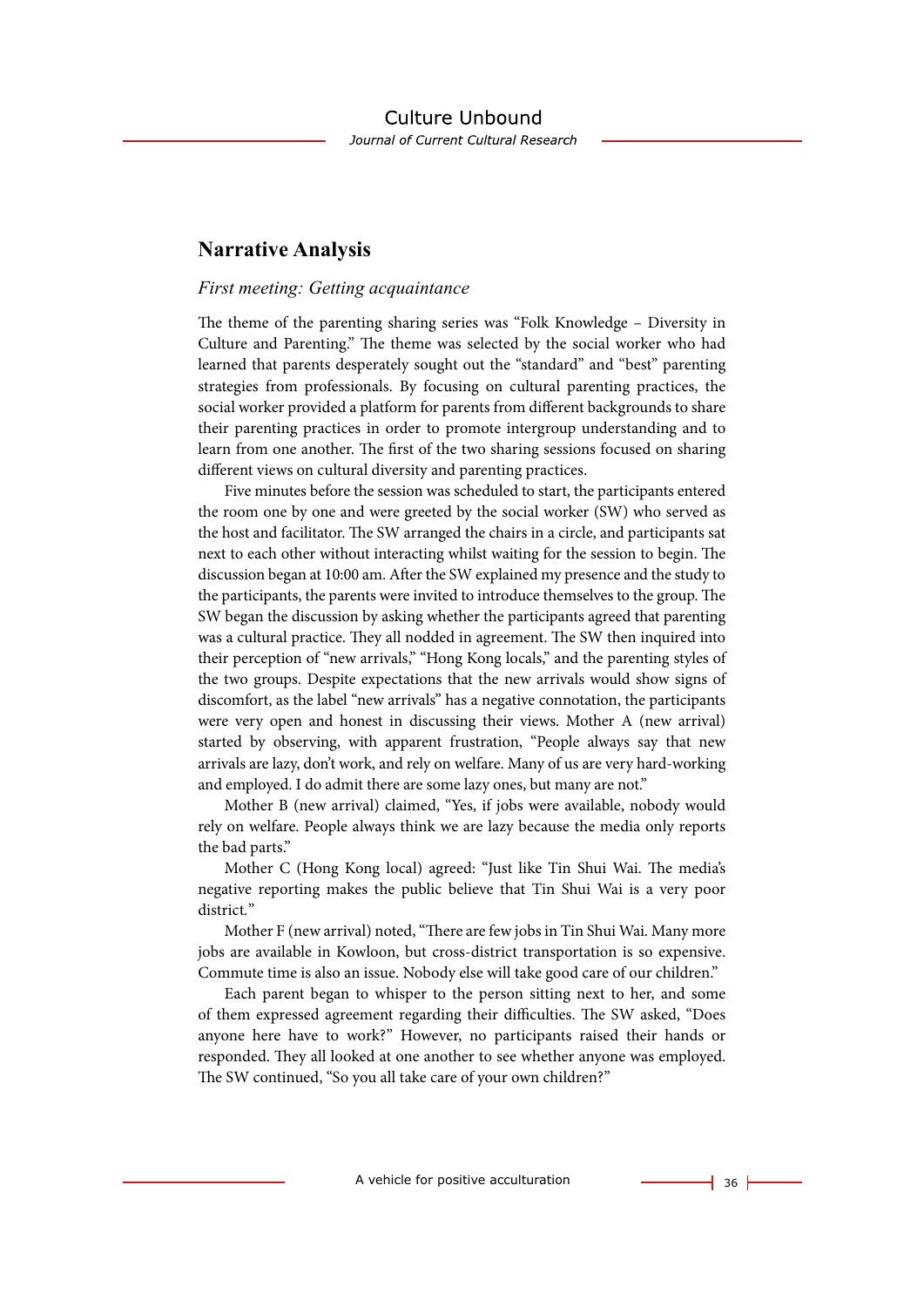### **Narrative Analysis**

#### *First meeting: Getting acquaintance*

The theme of the parenting sharing series was "Folk Knowledge – Diversity in Culture and Parenting." The theme was selected by the social worker who had learned that parents desperately sought out the "standard" and "best" parenting strategies from professionals. By focusing on cultural parenting practices, the social worker provided a platform for parents from different backgrounds to share their parenting practices in order to promote intergroup understanding and to learn from one another. The first of the two sharing sessions focused on sharing different views on cultural diversity and parenting practices.

Five minutes before the session was scheduled to start, the participants entered the room one by one and were greeted by the social worker (SW) who served as the host and facilitator. The SW arranged the chairs in a circle, and participants sat next to each other without interacting whilst waiting for the session to begin. The discussion began at 10:00 am. After the SW explained my presence and the study to the participants, the parents were invited to introduce themselves to the group. The SW began the discussion by asking whether the participants agreed that parenting was a cultural practice. They all nodded in agreement. The SW then inquired into their perception of "new arrivals," "Hong Kong locals," and the parenting styles of the two groups. Despite expectations that the new arrivals would show signs of discomfort, as the label "new arrivals" has a negative connotation, the participants were very open and honest in discussing their views. Mother A (new arrival) started by observing, with apparent frustration, "People always say that new arrivals are lazy, don't work, and rely on welfare. Many of us are very hard-working and employed. I do admit there are some lazy ones, but many are not."

Mother B (new arrival) claimed, "Yes, if jobs were available, nobody would rely on welfare. People always think we are lazy because the media only reports the bad parts."

Mother C (Hong Kong local) agreed: "Just like Tin Shui Wai. The media's negative reporting makes the public believe that Tin Shui Wai is a very poor district*.*"

Mother F (new arrival) noted, "There are few jobs in Tin Shui Wai. Many more jobs are available in Kowloon, but cross-district transportation is so expensive. Commute time is also an issue. Nobody else will take good care of our children."

Each parent began to whisper to the person sitting next to her, and some of them expressed agreement regarding their difficulties. The SW asked, "Does anyone here have to work?" However, no participants raised their hands or responded. They all looked at one another to see whether anyone was employed. The SW continued, "So you all take care of your own children?"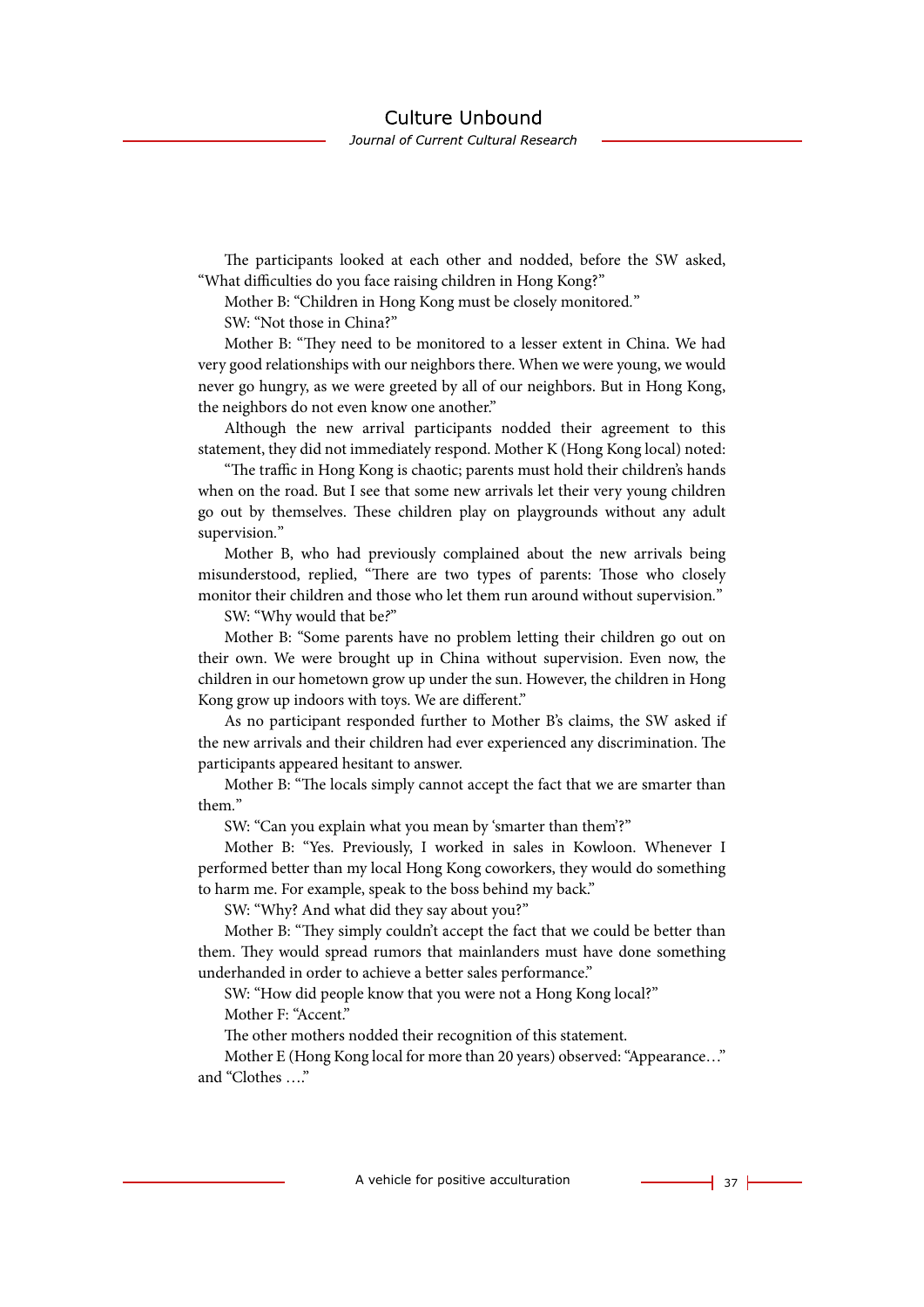Journal of Current Cultural Research

The participants looked at each other and nodded, before the SW asked, "What difficulties do you face raising children in Hong Kong?"

Mother B: "Children in Hong Kong must be closely monitored*.*"

SW: "Not those in China?"

Mother B: "They need to be monitored to a lesser extent in China. We had very good relationships with our neighbors there. When we were young, we would never go hungry, as we were greeted by all of our neighbors. But in Hong Kong, the neighbors do not even know one another."

Although the new arrival participants nodded their agreement to this statement, they did not immediately respond. Mother K (Hong Kong local) noted:

"The traffic in Hong Kong is chaotic; parents must hold their children's hands when on the road. But I see that some new arrivals let their very young children go out by themselves. These children play on playgrounds without any adult supervision*.*"

Mother B, who had previously complained about the new arrivals being misunderstood, replied, "There are two types of parents: Those who closely monitor their children and those who let them run around without supervision*.*"

SW: "Why would that be*?*"

Mother B: "Some parents have no problem letting their children go out on their own. We were brought up in China without supervision. Even now, the children in our hometown grow up under the sun. However, the children in Hong Kong grow up indoors with toys. We are different."

As no participant responded further to Mother B's claims, the SW asked if the new arrivals and their children had ever experienced any discrimination. The participants appeared hesitant to answer.

Mother B: "The locals simply cannot accept the fact that we are smarter than them*.*"

SW: "Can you explain what you mean by 'smarter than them'?"

Mother B: "Yes. Previously, I worked in sales in Kowloon. Whenever I performed better than my local Hong Kong coworkers, they would do something to harm me. For example, speak to the boss behind my back."

SW: "Why? And what did they say about you?"

Mother B: "They simply couldn't accept the fact that we could be better than them. They would spread rumors that mainlanders must have done something underhanded in order to achieve a better sales performance."

SW: "How did people know that you were not a Hong Kong local?" Mother F: "Accent."

The other mothers nodded their recognition of this statement.

Mother E (Hong Kong local for more than 20 years) observed: "Appearance…" and "Clothes …."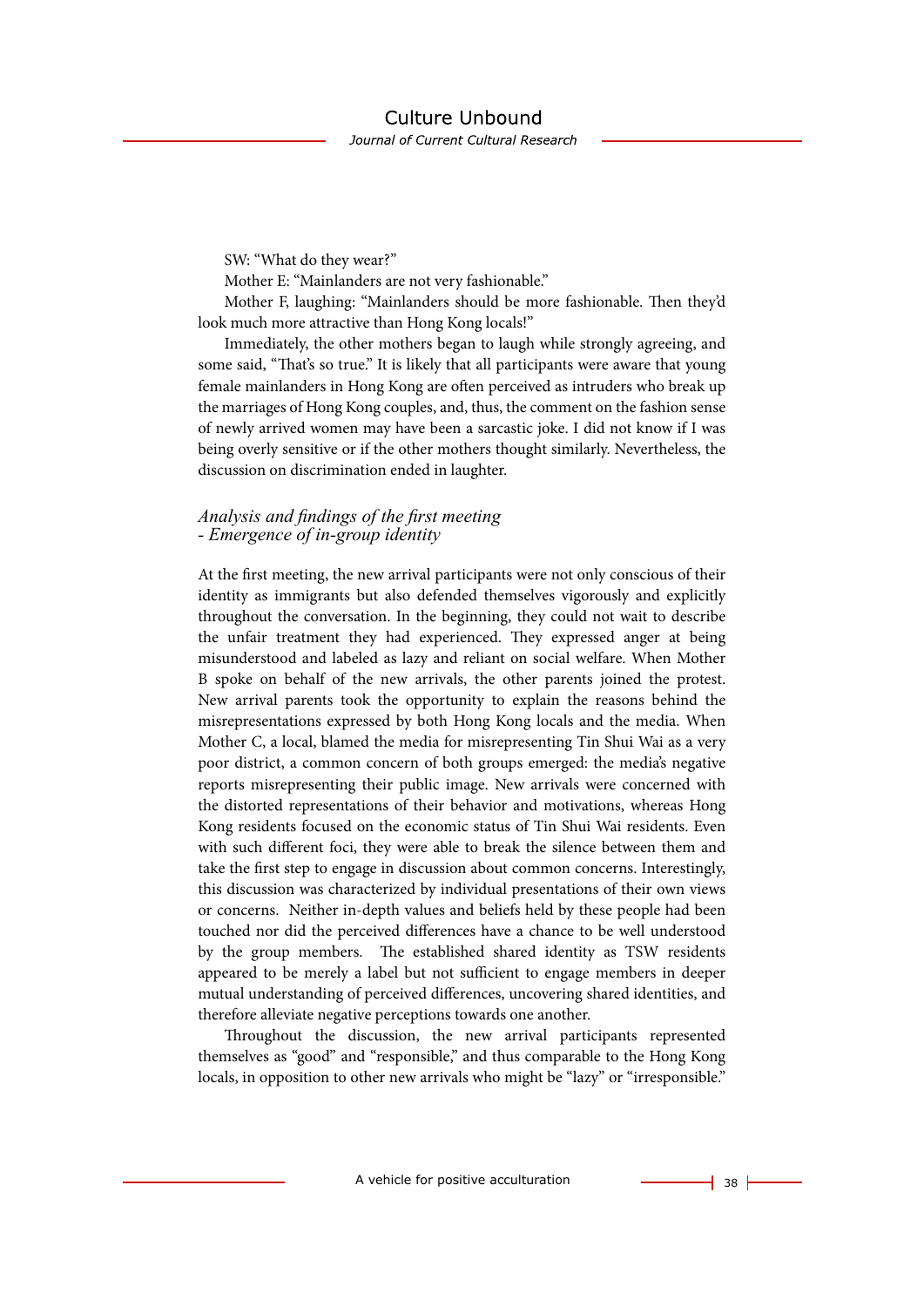SW: "What do they wear?"

Mother E: "Mainlanders are not very fashionable."

Mother F, laughing: "Mainlanders should be more fashionable. Then they'd look much more attractive than Hong Kong locals!"

Immediately, the other mothers began to laugh while strongly agreeing, and some said, "That's so true." It is likely that all participants were aware that young female mainlanders in Hong Kong are often perceived as intruders who break up the marriages of Hong Kong couples, and, thus, the comment on the fashion sense of newly arrived women may have been a sarcastic joke. I did not know if I was being overly sensitive or if the other mothers thought similarly. Nevertheless, the discussion on discrimination ended in laughter.

### *Analysis and findings of the first meeting - Emergence of in-group identity*

At the first meeting, the new arrival participants were not only conscious of their identity as immigrants but also defended themselves vigorously and explicitly throughout the conversation. In the beginning, they could not wait to describe the unfair treatment they had experienced. They expressed anger at being misunderstood and labeled as lazy and reliant on social welfare. When Mother B spoke on behalf of the new arrivals, the other parents joined the protest. New arrival parents took the opportunity to explain the reasons behind the misrepresentations expressed by both Hong Kong locals and the media. When Mother C, a local, blamed the media for misrepresenting Tin Shui Wai as a very poor district, a common concern of both groups emerged: the media's negative reports misrepresenting their public image. New arrivals were concerned with the distorted representations of their behavior and motivations, whereas Hong Kong residents focused on the economic status of Tin Shui Wai residents. Even with such different foci, they were able to break the silence between them and take the first step to engage in discussion about common concerns. Interestingly, this discussion was characterized by individual presentations of their own views or concerns. Neither in-depth values and beliefs held by these people had been touched nor did the perceived differences have a chance to be well understood by the group members. The established shared identity as TSW residents appeared to be merely a label but not sufficient to engage members in deeper mutual understanding of perceived differences, uncovering shared identities, and therefore alleviate negative perceptions towards one another.

Throughout the discussion, the new arrival participants represented themselves as "good" and "responsible," and thus comparable to the Hong Kong locals, in opposition to other new arrivals who might be "lazy" or "irresponsible."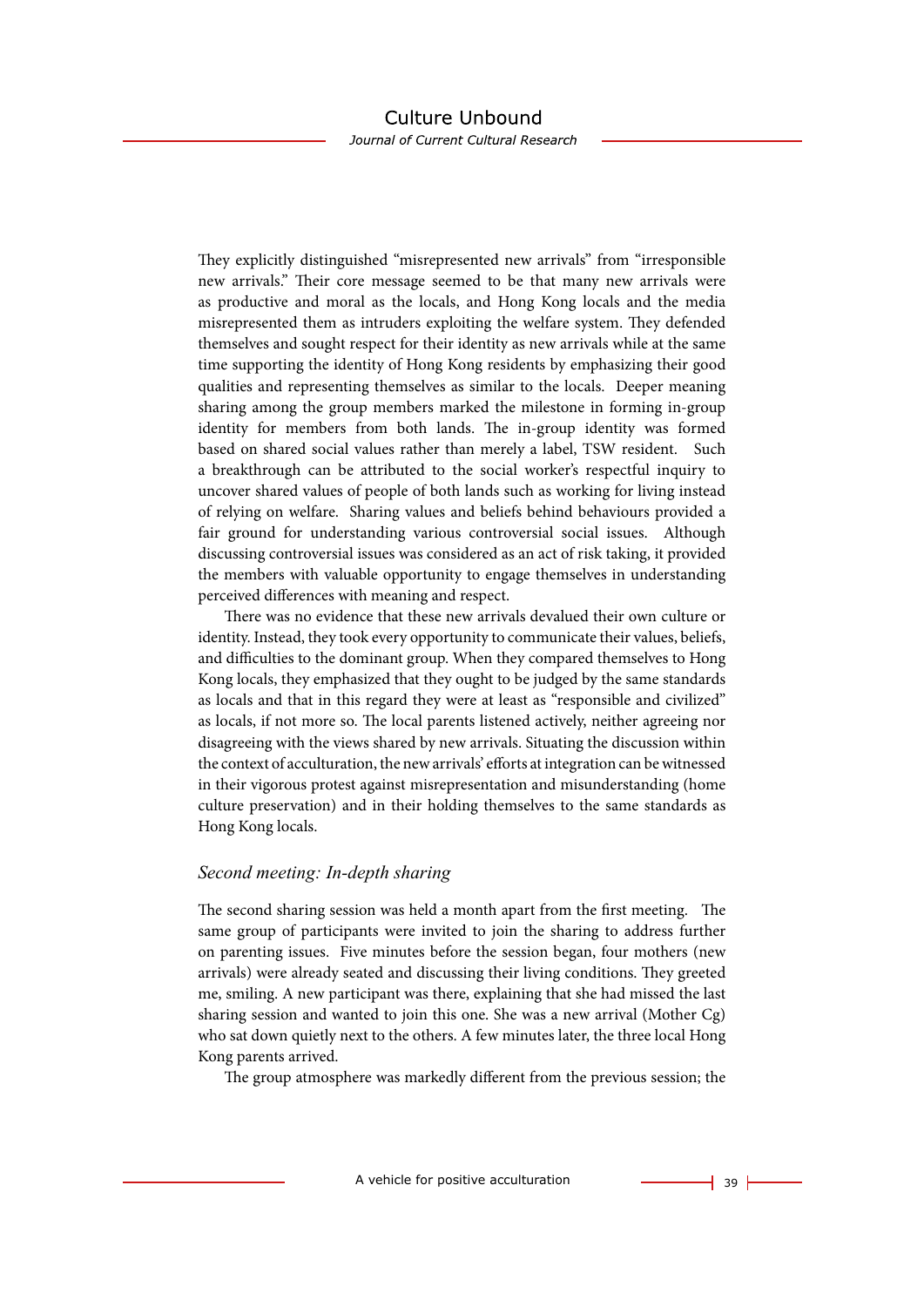Journal of Current Cultural Research

They explicitly distinguished "misrepresented new arrivals" from "irresponsible new arrivals." Their core message seemed to be that many new arrivals were as productive and moral as the locals, and Hong Kong locals and the media misrepresented them as intruders exploiting the welfare system. They defended themselves and sought respect for their identity as new arrivals while at the same time supporting the identity of Hong Kong residents by emphasizing their good qualities and representing themselves as similar to the locals. Deeper meaning sharing among the group members marked the milestone in forming in-group identity for members from both lands. The in-group identity was formed based on shared social values rather than merely a label, TSW resident. Such a breakthrough can be attributed to the social worker's respectful inquiry to uncover shared values of people of both lands such as working for living instead of relying on welfare. Sharing values and beliefs behind behaviours provided a fair ground for understanding various controversial social issues. Although discussing controversial issues was considered as an act of risk taking, it provided the members with valuable opportunity to engage themselves in understanding perceived differences with meaning and respect.

There was no evidence that these new arrivals devalued their own culture or identity. Instead, they took every opportunity to communicate their values, beliefs, and difficulties to the dominant group. When they compared themselves to Hong Kong locals, they emphasized that they ought to be judged by the same standards as locals and that in this regard they were at least as "responsible and civilized" as locals, if not more so. The local parents listened actively, neither agreeing nor disagreeing with the views shared by new arrivals. Situating the discussion within the context of acculturation, the new arrivals' efforts at integration can be witnessed in their vigorous protest against misrepresentation and misunderstanding (home culture preservation) and in their holding themselves to the same standards as Hong Kong locals.

#### *Second meeting: In-depth sharing*

The second sharing session was held a month apart from the first meeting. The same group of participants were invited to join the sharing to address further on parenting issues. Five minutes before the session began, four mothers (new arrivals) were already seated and discussing their living conditions. They greeted me, smiling. A new participant was there, explaining that she had missed the last sharing session and wanted to join this one. She was a new arrival (Mother Cg) who sat down quietly next to the others. A few minutes later, the three local Hong Kong parents arrived.

The group atmosphere was markedly different from the previous session; the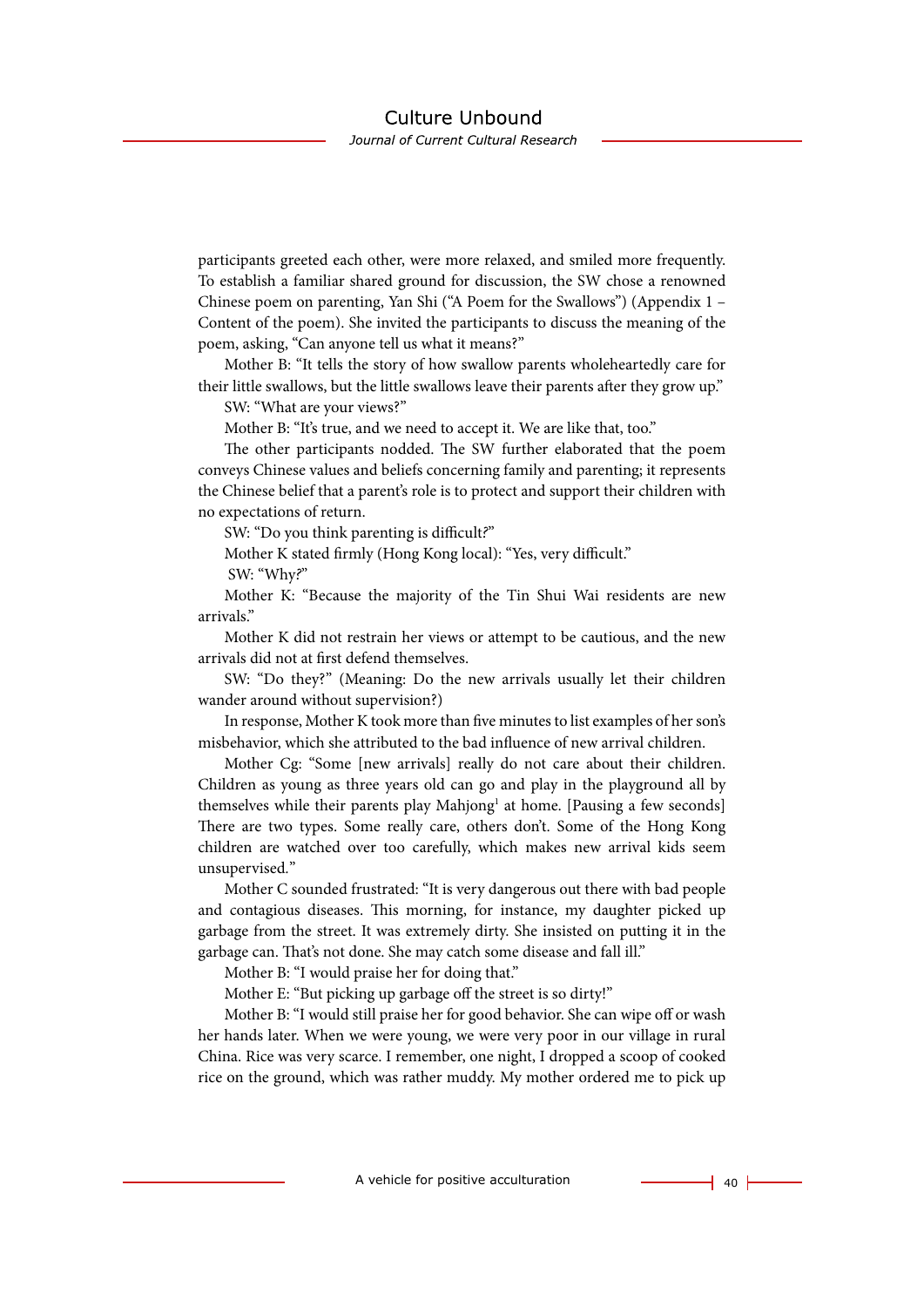Journal of Current Cultural Research

participants greeted each other, were more relaxed, and smiled more frequently. To establish a familiar shared ground for discussion, the SW chose a renowned Chinese poem on parenting, Yan Shi ("A Poem for the Swallows") (Appendix 1 – Content of the poem). She invited the participants to discuss the meaning of the poem, asking, "Can anyone tell us what it means?"

Mother B: "It tells the story of how swallow parents wholeheartedly care for their little swallows, but the little swallows leave their parents after they grow up."

SW: "What are your views?"

Mother B: "It's true, and we need to accept it. We are like that, too."

The other participants nodded. The SW further elaborated that the poem conveys Chinese values and beliefs concerning family and parenting; it represents the Chinese belief that a parent's role is to protect and support their children with no expectations of return.

SW: "Do you think parenting is difficult*?*"

Mother K stated firmly (Hong Kong local): "Yes, very difficult."

SW: "Why*?*"

Mother K: "Because the majority of the Tin Shui Wai residents are new arrivals."

Mother K did not restrain her views or attempt to be cautious, and the new arrivals did not at first defend themselves.

SW: "Do they?" (Meaning: Do the new arrivals usually let their children wander around without supervision?)

In response, Mother K took more than five minutes to list examples of her son's misbehavior, which she attributed to the bad influence of new arrival children.

Mother Cg: "Some [new arrivals] really do not care about their children. Children as young as three years old can go and play in the playground all by themselves while their parents play Mahjong<sup>1</sup> at home. [Pausing a few seconds] There are two types. Some really care, others don't. Some of the Hong Kong children are watched over too carefully, which makes new arrival kids seem unsupervised*.*"

Mother C sounded frustrated: "It is very dangerous out there with bad people and contagious diseases. This morning, for instance, my daughter picked up garbage from the street. It was extremely dirty. She insisted on putting it in the garbage can. That's not done. She may catch some disease and fall ill."

Mother B: "I would praise her for doing that."

Mother E: "But picking up garbage off the street is so dirty!"

Mother B: "I would still praise her for good behavior. She can wipe off or wash her hands later. When we were young, we were very poor in our village in rural China. Rice was very scarce. I remember, one night, I dropped a scoop of cooked rice on the ground, which was rather muddy. My mother ordered me to pick up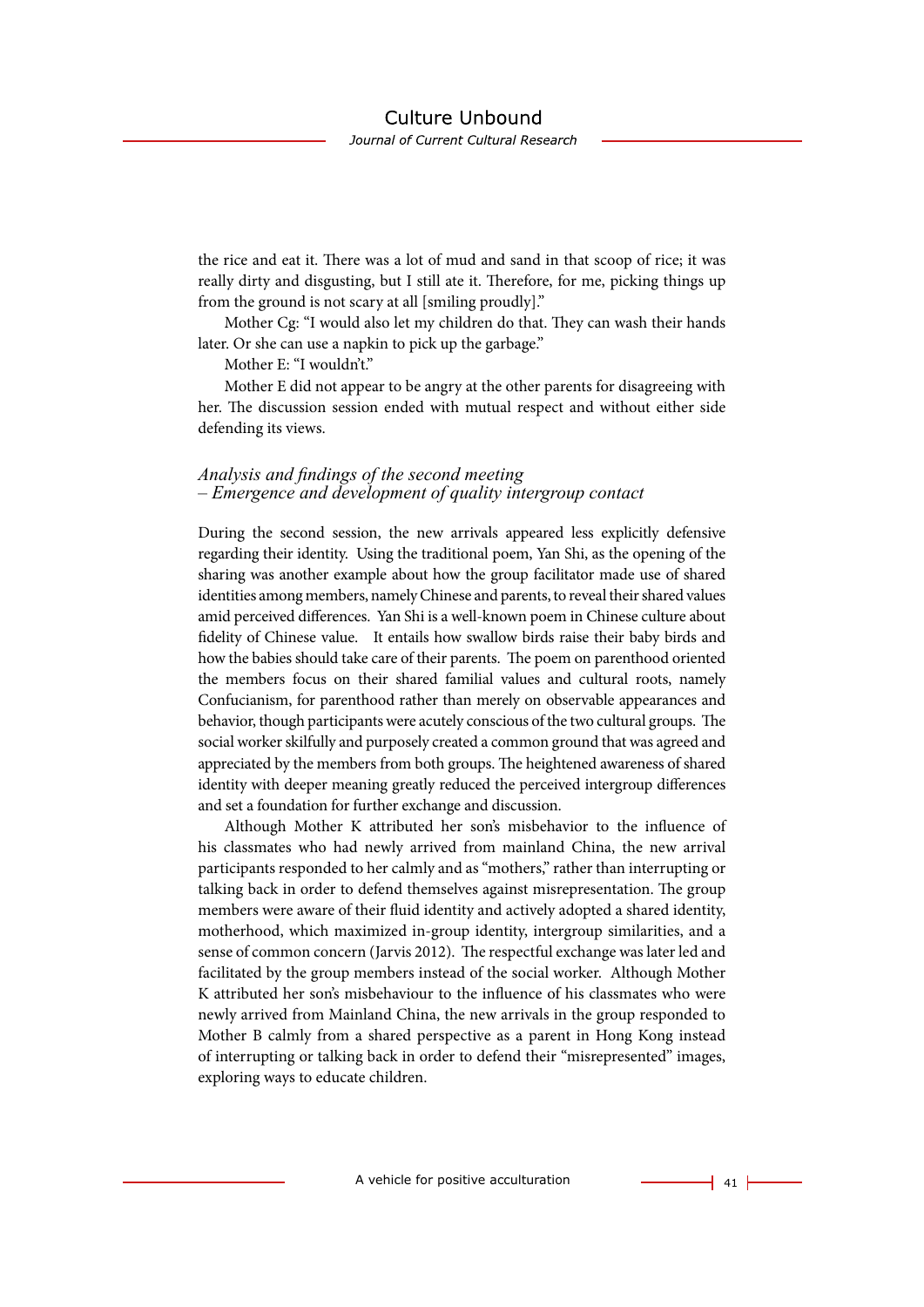the rice and eat it. There was a lot of mud and sand in that scoop of rice; it was really dirty and disgusting, but I still ate it. Therefore, for me, picking things up from the ground is not scary at all [smiling proudly]."

Mother Cg: "I would also let my children do that. They can wash their hands later. Or she can use a napkin to pick up the garbage."

Mother E: "I wouldn't."

Mother E did not appear to be angry at the other parents for disagreeing with her. The discussion session ended with mutual respect and without either side defending its views.

#### *Analysis and findings of the second meeting – Emergence and development of quality intergroup contact*

During the second session, the new arrivals appeared less explicitly defensive regarding their identity. Using the traditional poem, Yan Shi, as the opening of the sharing was another example about how the group facilitator made use of shared identities among members, namely Chinese and parents, to reveal their shared values amid perceived differences. Yan Shi is a well-known poem in Chinese culture about fidelity of Chinese value. It entails how swallow birds raise their baby birds and how the babies should take care of their parents. The poem on parenthood oriented the members focus on their shared familial values and cultural roots, namely Confucianism, for parenthood rather than merely on observable appearances and behavior, though participants were acutely conscious of the two cultural groups. The social worker skilfully and purposely created a common ground that was agreed and appreciated by the members from both groups. The heightened awareness of shared identity with deeper meaning greatly reduced the perceived intergroup differences and set a foundation for further exchange and discussion.

Although Mother K attributed her son's misbehavior to the influence of his classmates who had newly arrived from mainland China, the new arrival participants responded to her calmly and as "mothers," rather than interrupting or talking back in order to defend themselves against misrepresentation. The group members were aware of their fluid identity and actively adopted a shared identity, motherhood, which maximized in-group identity, intergroup similarities, and a sense of common concern (Jarvis 2012). The respectful exchange was later led and facilitated by the group members instead of the social worker. Although Mother K attributed her son's misbehaviour to the influence of his classmates who were newly arrived from Mainland China, the new arrivals in the group responded to Mother B calmly from a shared perspective as a parent in Hong Kong instead of interrupting or talking back in order to defend their "misrepresented" images, exploring ways to educate children.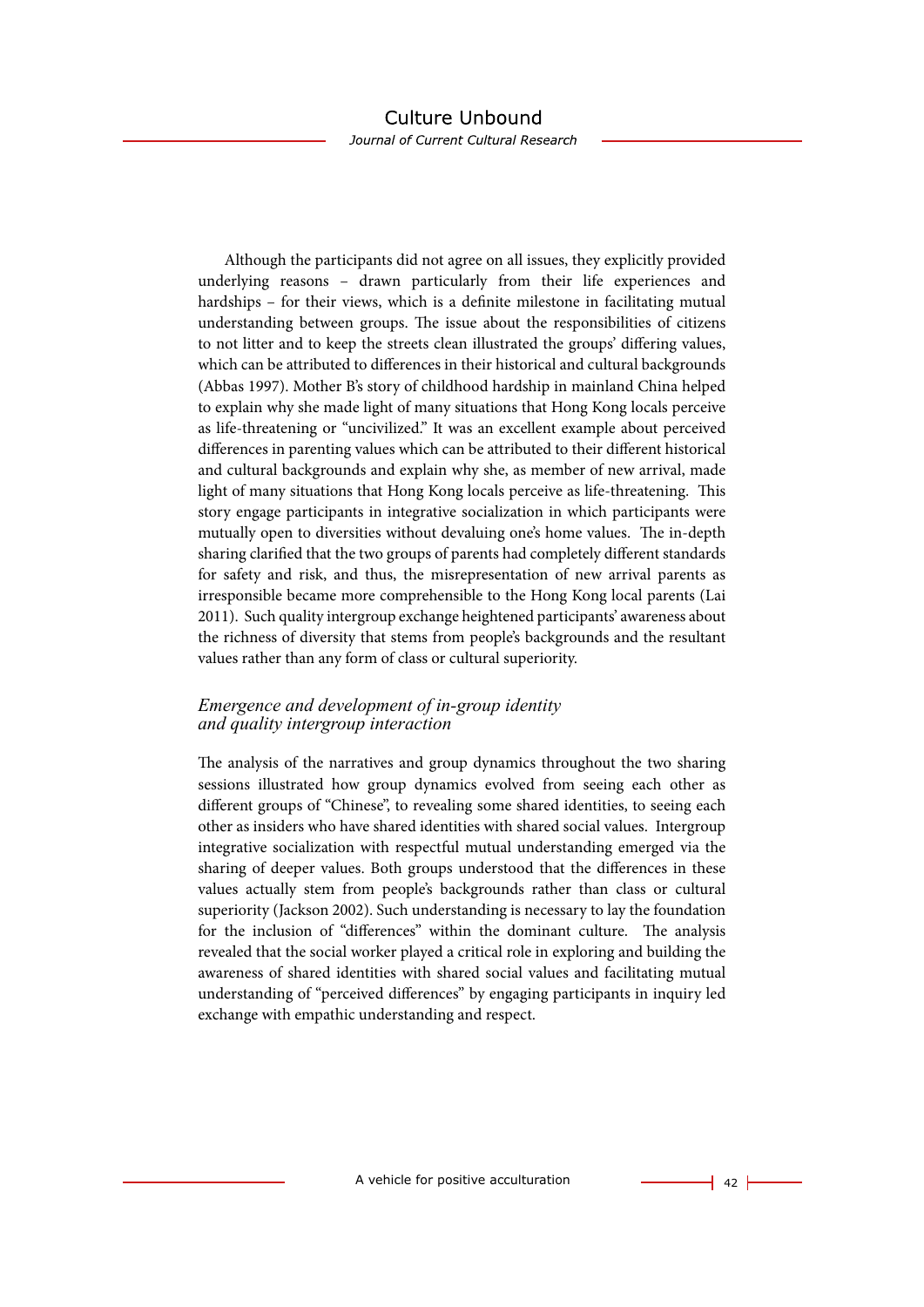Although the participants did not agree on all issues, they explicitly provided underlying reasons – drawn particularly from their life experiences and hardships – for their views, which is a definite milestone in facilitating mutual understanding between groups. The issue about the responsibilities of citizens to not litter and to keep the streets clean illustrated the groups' differing values, which can be attributed to differences in their historical and cultural backgrounds (Abbas 1997). Mother B's story of childhood hardship in mainland China helped to explain why she made light of many situations that Hong Kong locals perceive as life-threatening or "uncivilized." It was an excellent example about perceived differences in parenting values which can be attributed to their different historical and cultural backgrounds and explain why she, as member of new arrival, made light of many situations that Hong Kong locals perceive as life-threatening. This story engage participants in integrative socialization in which participants were mutually open to diversities without devaluing one's home values. The in-depth sharing clarified that the two groups of parents had completely different standards for safety and risk, and thus, the misrepresentation of new arrival parents as irresponsible became more comprehensible to the Hong Kong local parents (Lai 2011). Such quality intergroup exchange heightened participants' awareness about the richness of diversity that stems from people's backgrounds and the resultant values rather than any form of class or cultural superiority.

### *Emergence and development of in-group identity and quality intergroup interaction*

The analysis of the narratives and group dynamics throughout the two sharing sessions illustrated how group dynamics evolved from seeing each other as different groups of "Chinese", to revealing some shared identities, to seeing each other as insiders who have shared identities with shared social values. Intergroup integrative socialization with respectful mutual understanding emerged via the sharing of deeper values. Both groups understood that the differences in these values actually stem from people's backgrounds rather than class or cultural superiority (Jackson 2002). Such understanding is necessary to lay the foundation for the inclusion of "differences" within the dominant culture. The analysis revealed that the social worker played a critical role in exploring and building the awareness of shared identities with shared social values and facilitating mutual understanding of "perceived differences" by engaging participants in inquiry led exchange with empathic understanding and respect.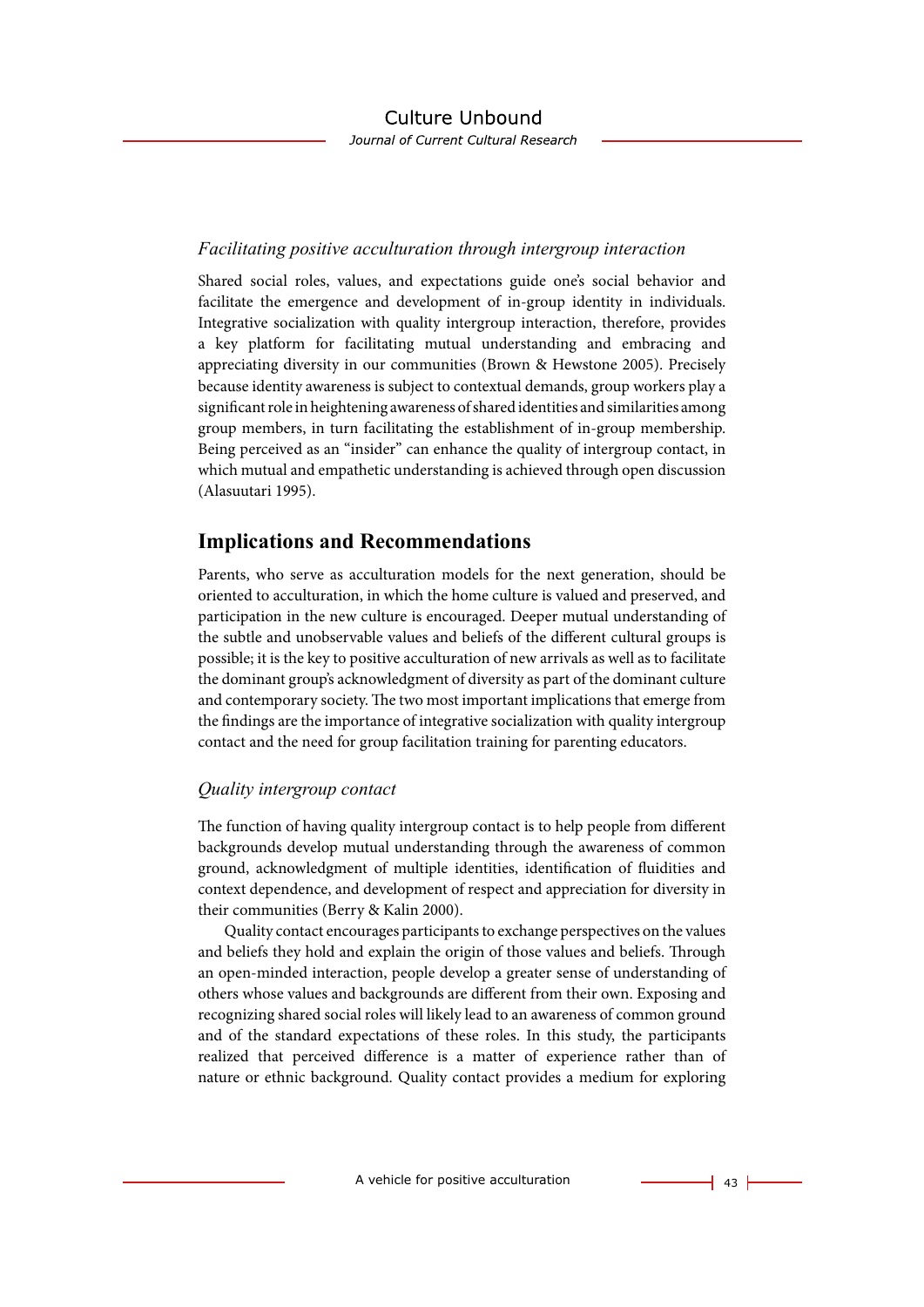### *Facilitating positive acculturation through intergroup interaction*

Shared social roles, values, and expectations guide one's social behavior and facilitate the emergence and development of in-group identity in individuals. Integrative socialization with quality intergroup interaction, therefore, provides a key platform for facilitating mutual understanding and embracing and appreciating diversity in our communities (Brown & Hewstone 2005). Precisely because identity awareness is subject to contextual demands, group workers play a significant role in heightening awareness of shared identities and similarities among group members, in turn facilitating the establishment of in-group membership. Being perceived as an "insider" can enhance the quality of intergroup contact, in which mutual and empathetic understanding is achieved through open discussion (Alasuutari 1995).

### **Implications and Recommendations**

Parents, who serve as acculturation models for the next generation, should be oriented to acculturation, in which the home culture is valued and preserved, and participation in the new culture is encouraged. Deeper mutual understanding of the subtle and unobservable values and beliefs of the different cultural groups is possible; it is the key to positive acculturation of new arrivals as well as to facilitate the dominant group's acknowledgment of diversity as part of the dominant culture and contemporary society. The two most important implications that emerge from the findings are the importance of integrative socialization with quality intergroup contact and the need for group facilitation training for parenting educators.

### *Quality intergroup contact*

The function of having quality intergroup contact is to help people from different backgrounds develop mutual understanding through the awareness of common ground, acknowledgment of multiple identities, identification of fluidities and context dependence, and development of respect and appreciation for diversity in their communities (Berry & Kalin 2000).

Quality contact encourages participants to exchange perspectives on the values and beliefs they hold and explain the origin of those values and beliefs. Through an open-minded interaction, people develop a greater sense of understanding of others whose values and backgrounds are different from their own. Exposing and recognizing shared social roles will likely lead to an awareness of common ground and of the standard expectations of these roles. In this study, the participants realized that perceived difference is a matter of experience rather than of nature or ethnic background. Quality contact provides a medium for exploring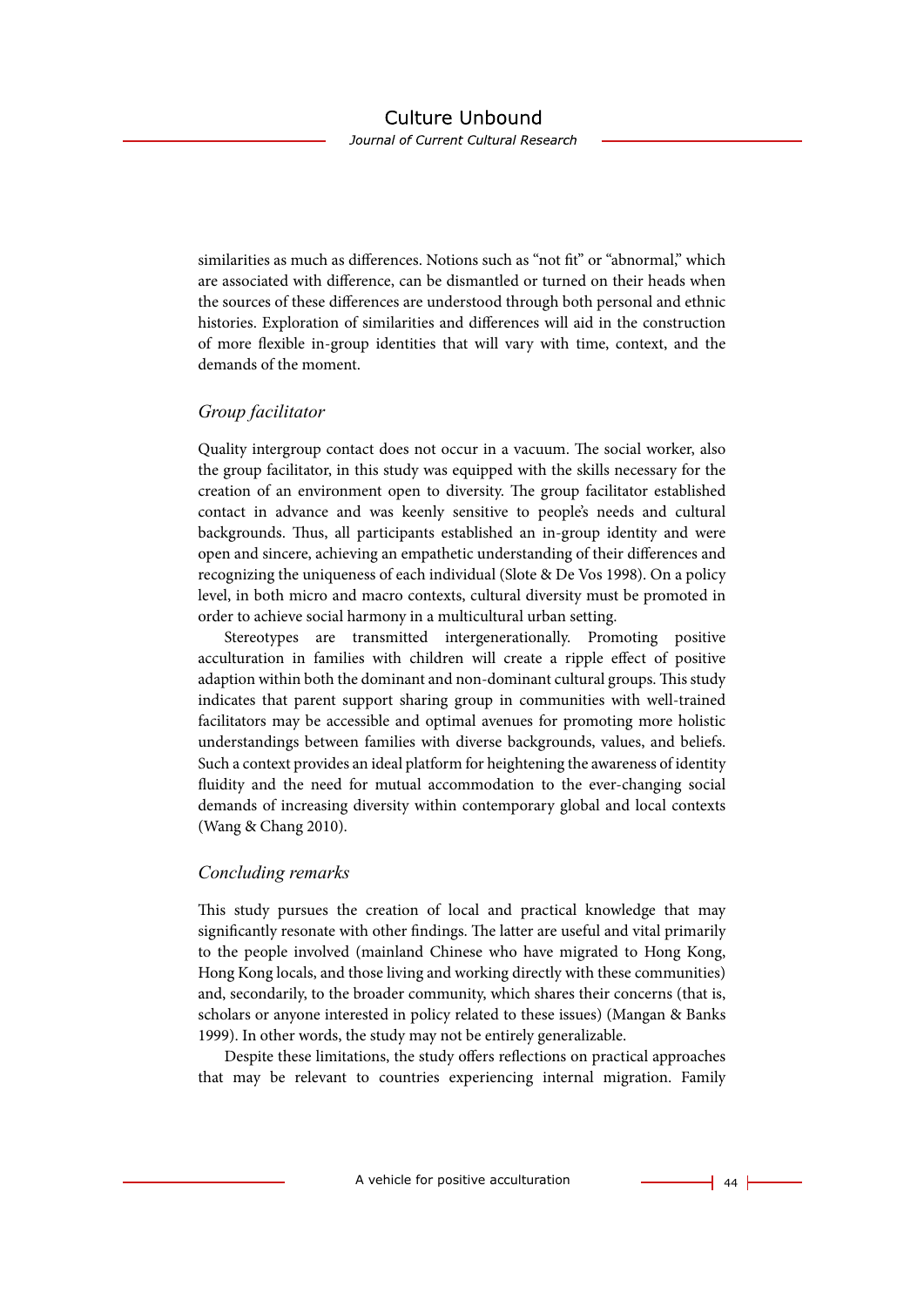Journal of Current Cultural Research

similarities as much as differences. Notions such as "not fit" or "abnormal," which are associated with difference, can be dismantled or turned on their heads when the sources of these differences are understood through both personal and ethnic histories. Exploration of similarities and differences will aid in the construction of more flexible in-group identities that will vary with time, context, and the demands of the moment.

#### *Group facilitator*

Quality intergroup contact does not occur in a vacuum. The social worker, also the group facilitator, in this study was equipped with the skills necessary for the creation of an environment open to diversity. The group facilitator established contact in advance and was keenly sensitive to people's needs and cultural backgrounds. Thus, all participants established an in-group identity and were open and sincere, achieving an empathetic understanding of their differences and recognizing the uniqueness of each individual (Slote & De Vos 1998). On a policy level, in both micro and macro contexts, cultural diversity must be promoted in order to achieve social harmony in a multicultural urban setting.

Stereotypes are transmitted intergenerationally. Promoting positive acculturation in families with children will create a ripple effect of positive adaption within both the dominant and non-dominant cultural groups. This study indicates that parent support sharing group in communities with well-trained facilitators may be accessible and optimal avenues for promoting more holistic understandings between families with diverse backgrounds, values, and beliefs. Such a context provides an ideal platform for heightening the awareness of identity fluidity and the need for mutual accommodation to the ever-changing social demands of increasing diversity within contemporary global and local contexts (Wang & Chang 2010).

#### *Concluding remarks*

This study pursues the creation of local and practical knowledge that may significantly resonate with other findings. The latter are useful and vital primarily to the people involved (mainland Chinese who have migrated to Hong Kong, Hong Kong locals, and those living and working directly with these communities) and, secondarily, to the broader community, which shares their concerns (that is, scholars or anyone interested in policy related to these issues) (Mangan & Banks 1999). In other words, the study may not be entirely generalizable.

Despite these limitations, the study offers reflections on practical approaches that may be relevant to countries experiencing internal migration. Family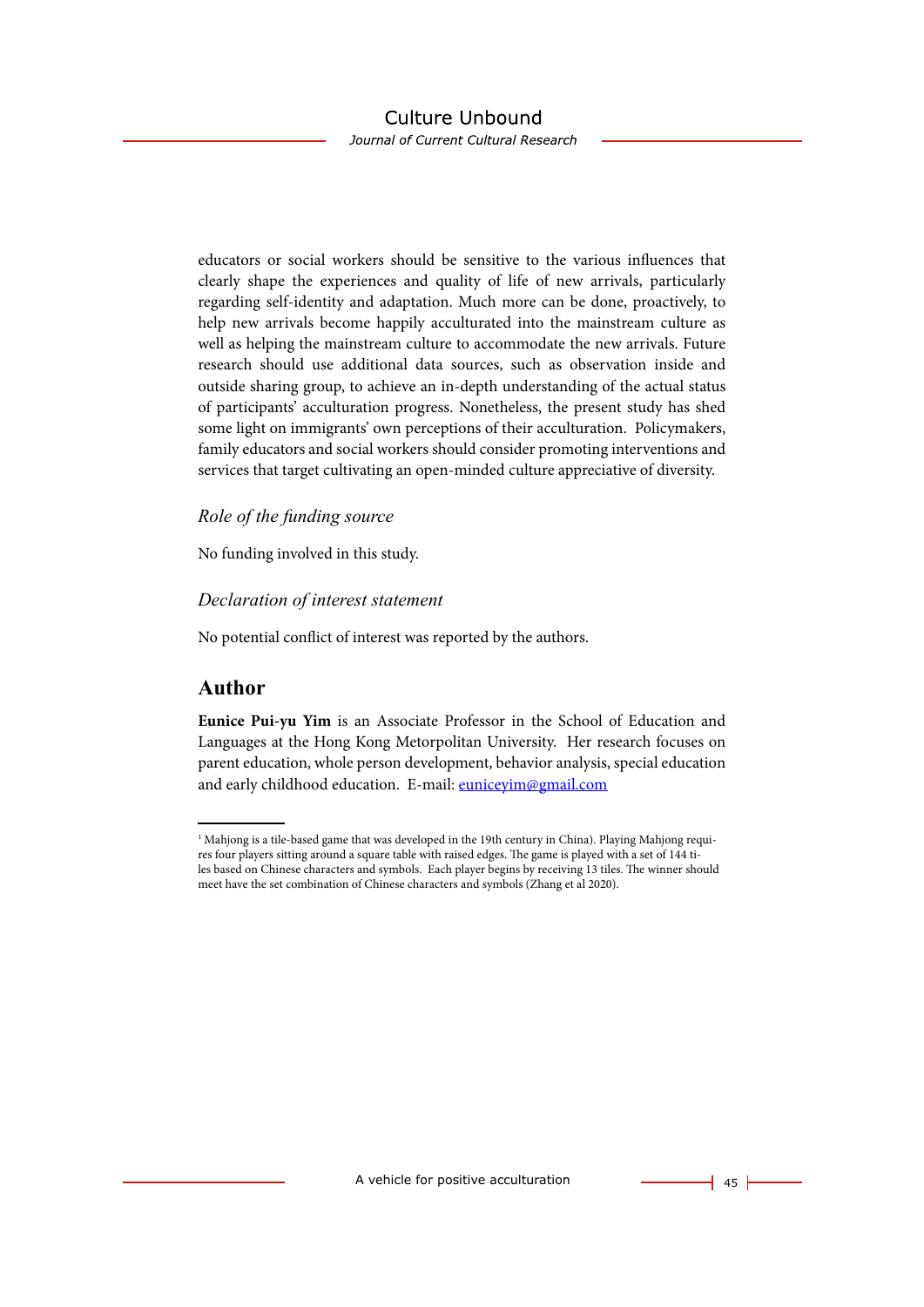educators or social workers should be sensitive to the various influences that clearly shape the experiences and quality of life of new arrivals, particularly regarding self-identity and adaptation. Much more can be done, proactively, to help new arrivals become happily acculturated into the mainstream culture as well as helping the mainstream culture to accommodate the new arrivals. Future research should use additional data sources, such as observation inside and outside sharing group, to achieve an in-depth understanding of the actual status of participants' acculturation progress. Nonetheless, the present study has shed some light on immigrants' own perceptions of their acculturation. Policymakers, family educators and social workers should consider promoting interventions and services that target cultivating an open-minded culture appreciative of diversity.

#### *Role of the funding source*

No funding involved in this study.

#### *Declaration of interest statement*

No potential conflict of interest was reported by the authors.

### **Author**

**Eunice Pui-yu Yim** is an Associate Professor in the School of Education and Languages at the Hong Kong Metorpolitan University. Her research focuses on parent education, whole person development, behavior analysis, special education and early childhood education. E-mail: [euniceyim@gmail.com](mailto:euniceyim@gmail.com)

 $^1$  Mahjong is a tile-based game that was developed in the 19th century in China). Playing Mahjong requires four players sitting around a square table with raised edges. The game is played with a set of 144 tiles based on Chinese characters and symbols. Each player begins by receiving 13 tiles. The winner should meet have the set combination of Chinese characters and symbols (Zhang et al 2020).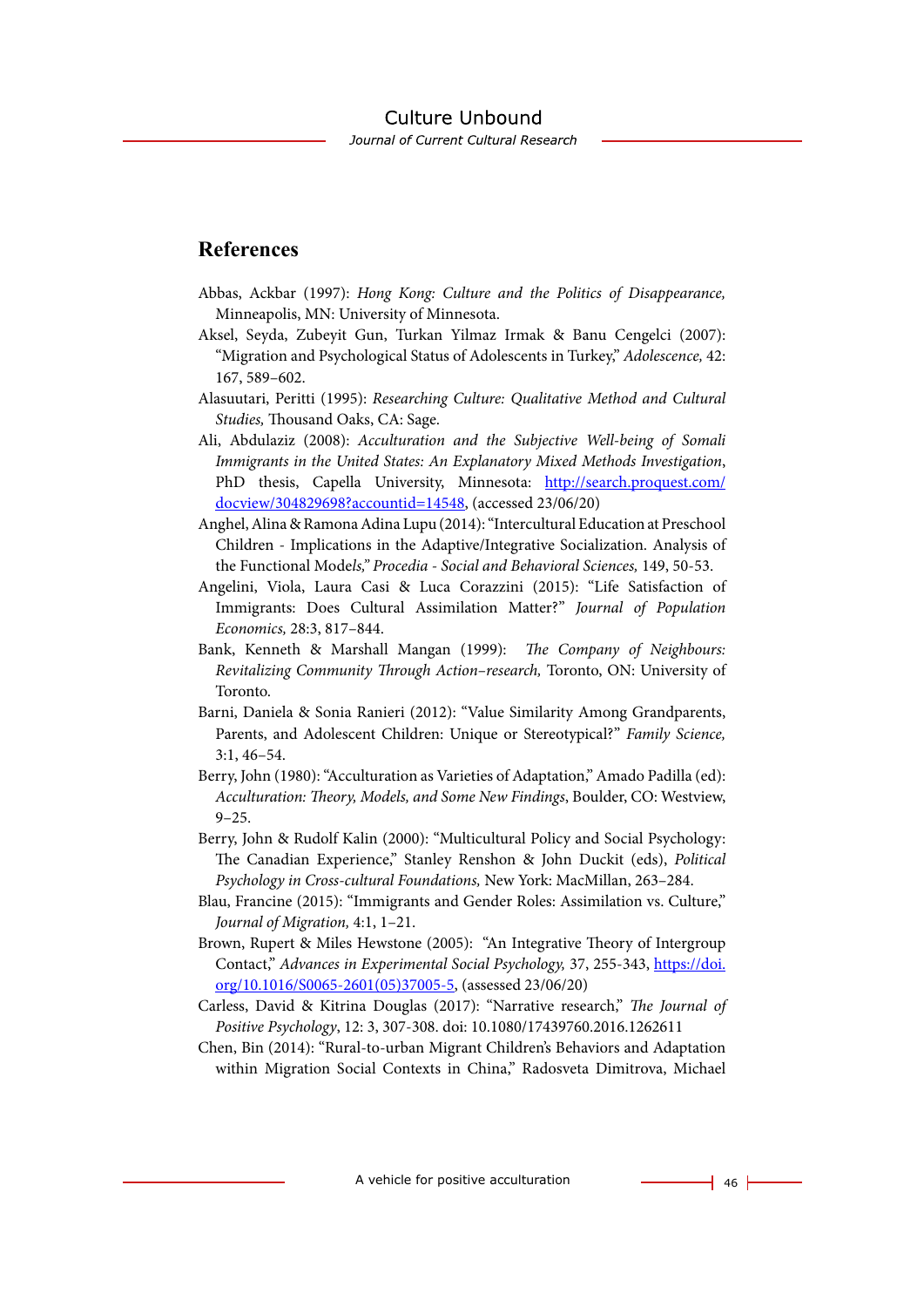### **References**

- Abbas, Ackbar (1997): *Hong Kong: Culture and the Politics of Disappearance,* Minneapolis, MN: University of Minnesota.
- Aksel, Seyda, Zubeyit Gun, Turkan Yilmaz Irmak & Banu Cengelci (2007): "Migration and Psychological Status of Adolescents in Turkey," *Adolescence,* 42: 167, 589–602.
- Alasuutari, Peritti (1995): *Researching Culture: Qualitative Method and Cultural Studies,* Thousand Oaks, CA: Sage.
- Ali, Abdulaziz (2008): *Acculturation and the Subjective Well-being of Somali Immigrants in the United States: An Explanatory Mixed Methods Investigation*, PhD thesis, Capella University, Minnesota: [http://search.proquest.com/](http://search.proquest.com/docview/304829698?accountid=14548) [docview/304829698?accountid=14548,](http://search.proquest.com/docview/304829698?accountid=14548) (accessed 23/06/20)
- Anghel, Alina & Ramona Adina Lupu (2014): "Intercultural Education at Preschool Children - Implications in the Adaptive/Integrative Socialization. Analysis of the Functional Mode*ls," Procedia - Social and Behavioral Sciences,* 149, 50-53.
- Angelini, Viola, Laura Casi & Luca Corazzini (2015): "Life Satisfaction of Immigrants: Does Cultural Assimilation Matter?" *Journal of Population Economics,* 28:3, 817–844.
- Bank, Kenneth & Marshall Mangan (1999): *The Company of Neighbours: Revitalizing Community Through Action–research,* Toronto, ON: University of Toronto.
- Barni, Daniela & Sonia Ranieri (2012): "Value Similarity Among Grandparents, Parents, and Adolescent Children: Unique or Stereotypical?" *Family Science,* 3:1, 46–54.
- Berry, John (1980): "Acculturation as Varieties of Adaptation," Amado Padilla (ed): *Acculturation: Theory, Models, and Some New Findings*, Boulder, CO: Westview, 9–25.
- Berry, John & Rudolf Kalin (2000): "Multicultural Policy and Social Psychology: The Canadian Experience," Stanley Renshon & John Duckit (eds), *Political Psychology in Cross-cultural Foundations,* New York: MacMillan, 263–284.
- Blau, Francine (2015): "Immigrants and Gender Roles: Assimilation vs. Culture," *Journal of Migration,* 4:1, 1–21.
- Brown, Rupert & Miles Hewstone (2005): "An Integrative Theory of Intergroup Contact," *Advances in Experimental Social Psychology,* 37, 255-343, [https://doi.](https://doi.org/10.1016/S0065-2601(05)37005-5) [org/10.1016/S0065-2601\(05\)37005-5,](https://doi.org/10.1016/S0065-2601(05)37005-5) (assessed 23/06/20)
- Carless, David & Kitrina Douglas (2017): "Narrative research," *The Journal of Positive Psychology*, 12: 3, 307-308. doi: 10.1080/17439760.2016.1262611
- Chen, Bin (2014): "Rural-to-urban Migrant Children's Behaviors and Adaptation within Migration Social Contexts in China," Radosveta Dimitrova, Michael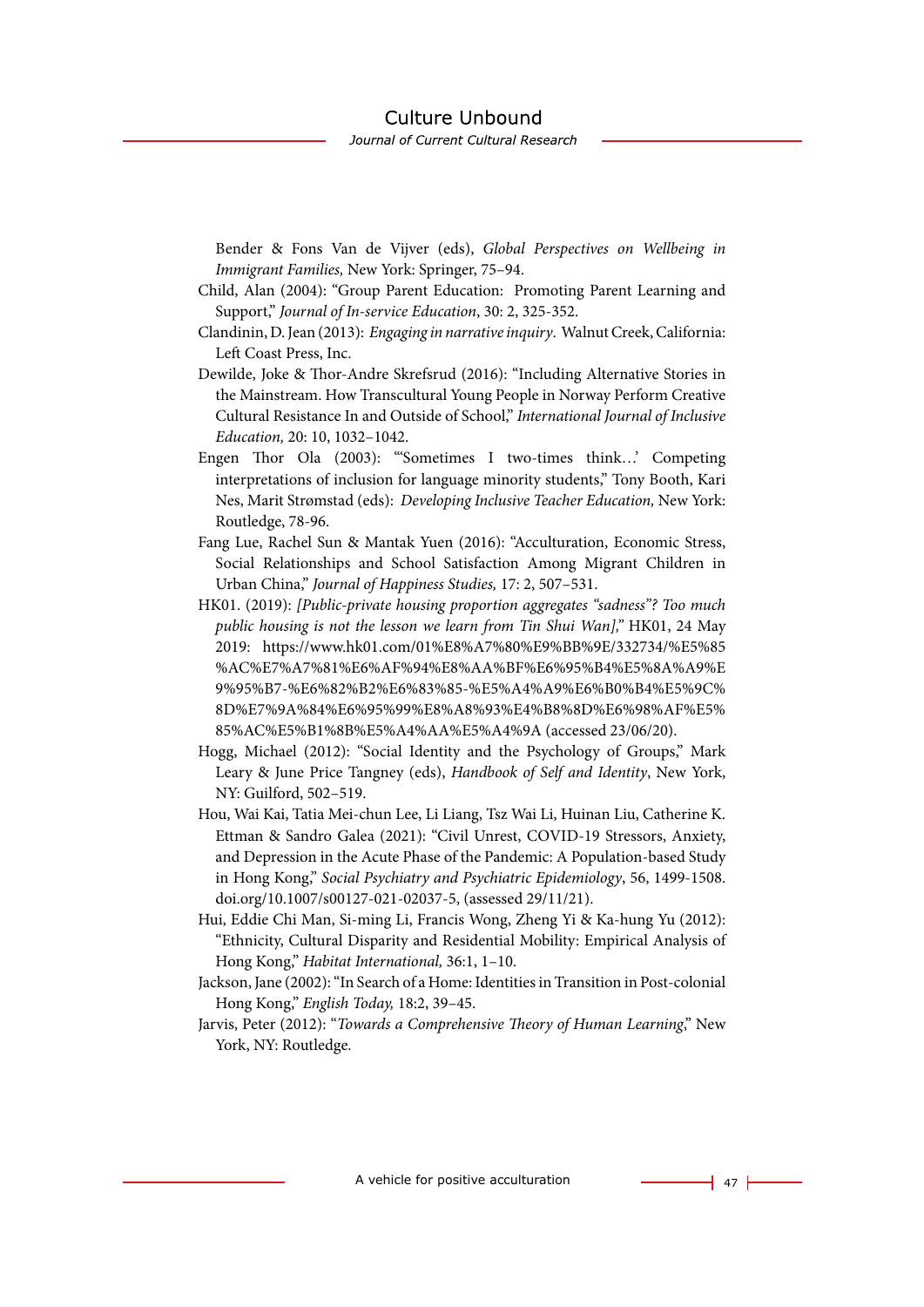Bender & Fons Van de Vijver (eds), *Global Perspectives on Wellbeing in Immigrant Families,* New York: Springer, 75–94.

- Child, Alan (2004): "Group Parent Education: Promoting Parent Learning and Support," *Journal of In-service Education*, 30: 2, 325-352.
- Clandinin, D. Jean (2013): *Engaging in narrative inquiry*. Walnut Creek, California: Left Coast Press, Inc.
- Dewilde, Joke & Thor-Andre Skrefsrud (2016): "Including Alternative Stories in the Mainstream. How Transcultural Young People in Norway Perform Creative Cultural Resistance In and Outside of School," *International Journal of Inclusive Education,* 20: 10, 1032–1042.
- Engen Thor Ola (2003): "'Sometimes I two-times think…' Competing interpretations of inclusion for language minority students," Tony Booth, Kari Nes, Marit Strømstad (eds): *Developing Inclusive Teacher Education,* New York: Routledge, 78-96.
- Fang Lue, Rachel Sun & Mantak Yuen (2016): "Acculturation, Economic Stress, Social Relationships and School Satisfaction Among Migrant Children in Urban China," *Journal of Happiness Studies,* 17: 2, 507–531.
- HK01. (2019): *[Public-private housing proportion aggregates "sadness"? Too much public housing is not the lesson we learn from Tin Shui Wan],"* HK01, 24 May 2019: https://www.hk01.com/01%E8%A7%80%E9%BB%9E/332734/%E5%85 %AC%E7%A7%81%E6%AF%94%E8%AA%BF%E6%95%B4%E5%8A%A9%E 9%95%B7-%E6%82%B2%E6%83%85-%E5%A4%A9%E6%B0%B4%E5%9C% 8D%E7%9A%84%E6%95%99%E8%A8%93%E4%B8%8D%E6%98%AF%E5% 85%AC%E5%B1%8B%E5%A4%AA%E5%A4%9A (accessed 23/06/20).
- Hogg, Michael (2012): "Social Identity and the Psychology of Groups," Mark Leary & June Price Tangney (eds), *Handbook of Self and Identity*, New York, NY: Guilford, 502–519.
- Hou, Wai Kai, Tatia Mei-chun Lee, Li Liang, Tsz Wai Li, Huinan Liu, Catherine K. Ettman & Sandro Galea (2021): "Civil Unrest, COVID-19 Stressors, Anxiety, and Depression in the Acute Phase of the Pandemic: A Population-based Study in Hong Kong," *Social Psychiatry and Psychiatric Epidemiology*, 56, 1499-1508. doi.org/10.1007/s00127-021-02037-5, (assessed 29/11/21).
- Hui, Eddie Chi Man, Si-ming Li, Francis Wong, Zheng Yi & Ka-hung Yu (2012): "Ethnicity, Cultural Disparity and Residential Mobility: Empirical Analysis of Hong Kong," *Habitat International,* 36:1, 1–10.
- Jackson, Jane (2002): "In Search of a Home: Identities in Transition in Post-colonial Hong Kong," *English Today,* 18:2, 39–45.
- Jarvis, Peter (2012): "*Towards a Comprehensive Theory of Human Learning*," New York, NY: Routledge.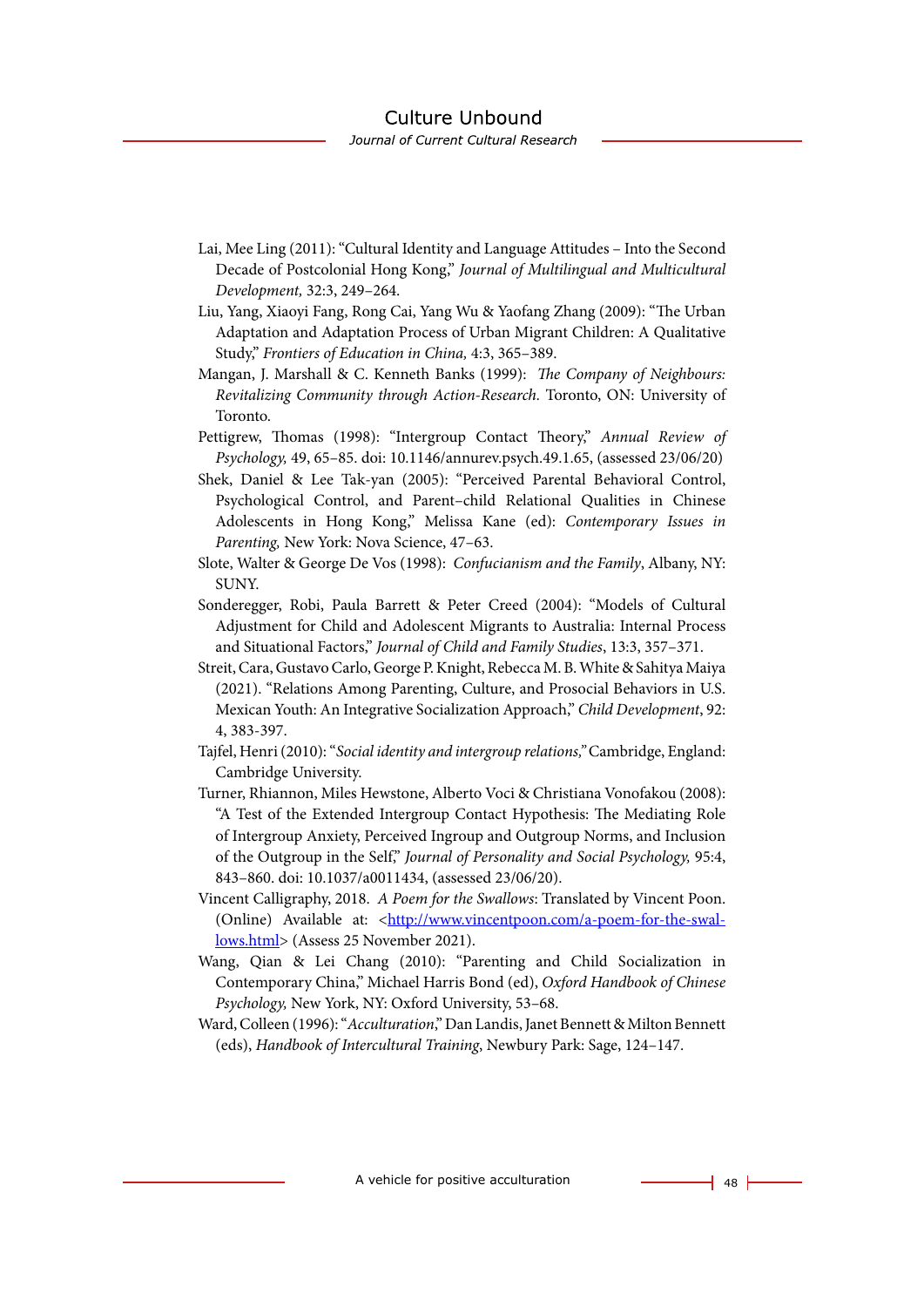- Lai, Mee Ling (2011): "Cultural Identity and Language Attitudes Into the Second Decade of Postcolonial Hong Kong," *Journal of Multilingual and Multicultural Development,* 32:3, 249–264.
- Liu, Yang, Xiaoyi Fang, Rong Cai, Yang Wu & Yaofang Zhang (2009): "The Urban Adaptation and Adaptation Process of Urban Migrant Children: A Qualitative Study," *Frontiers of Education in China,* 4:3, 365–389.
- Mangan, J. Marshall & C. Kenneth Banks (1999): *The Company of Neighbours: Revitalizing Community through Action-Research.* Toronto, ON: University of Toronto.
- Pettigrew, Thomas (1998): "Intergroup Contact Theory," *Annual Review of Psychology,* 49, 65–85. doi: 10.1146/annurev.psych.49.1.65, (assessed 23/06/20)
- Shek, Daniel & Lee Tak-yan (2005): "Perceived Parental Behavioral Control, Psychological Control, and Parent–child Relational Qualities in Chinese Adolescents in Hong Kong," Melissa Kane (ed): *Contemporary Issues in Parenting,* New York: Nova Science, 47–63.
- Slote, Walter & George De Vos (1998): *Confucianism and the Family*, Albany, NY: SUNY.
- Sonderegger, Robi, Paula Barrett & Peter Creed (2004): "Models of Cultural Adjustment for Child and Adolescent Migrants to Australia: Internal Process and Situational Factors," *Journal of Child and Family Studies*, 13:3, 357–371.
- Streit, Cara, Gustavo Carlo, George P. Knight, Rebecca M. B. White & Sahitya Maiya (2021). "Relations Among Parenting, Culture, and Prosocial Behaviors in U.S. Mexican Youth: An Integrative Socialization Approach," *Child Development*, 92: 4, 383-397.
- Tajfel, Henri (2010): "*Social identity and intergroup relations,"* Cambridge, England: Cambridge University.
- Turner, Rhiannon, Miles Hewstone, Alberto Voci & Christiana Vonofakou (2008): "A Test of the Extended Intergroup Contact Hypothesis: The Mediating Role of Intergroup Anxiety, Perceived Ingroup and Outgroup Norms, and Inclusion of the Outgroup in the Self," *Journal of Personality and Social Psychology,* 95:4, 843–860. doi: 10.1037/a0011434, (assessed 23/06/20).
- Vincent Calligraphy, 2018. *A Poem for the Swallows*: Translated by Vincent Poon. (Online) Available at: <[http://www.vincentpoon.com/a-poem-for-the-swal](http://www.vincentpoon.com/a-poem-for-the-swallows.html)[lows.html](http://www.vincentpoon.com/a-poem-for-the-swallows.html)> (Assess 25 November 2021).
- Wang, Qian & Lei Chang (2010): "Parenting and Child Socialization in Contemporary China," Michael Harris Bond (ed), *Oxford Handbook of Chinese Psychology,* New York, NY: Oxford University, 53–68.
- Ward, Colleen (1996): "*Acculturation*," Dan Landis, Janet Bennett & Milton Bennett (eds), *Handbook of Intercultural Training*, Newbury Park: Sage, 124–147.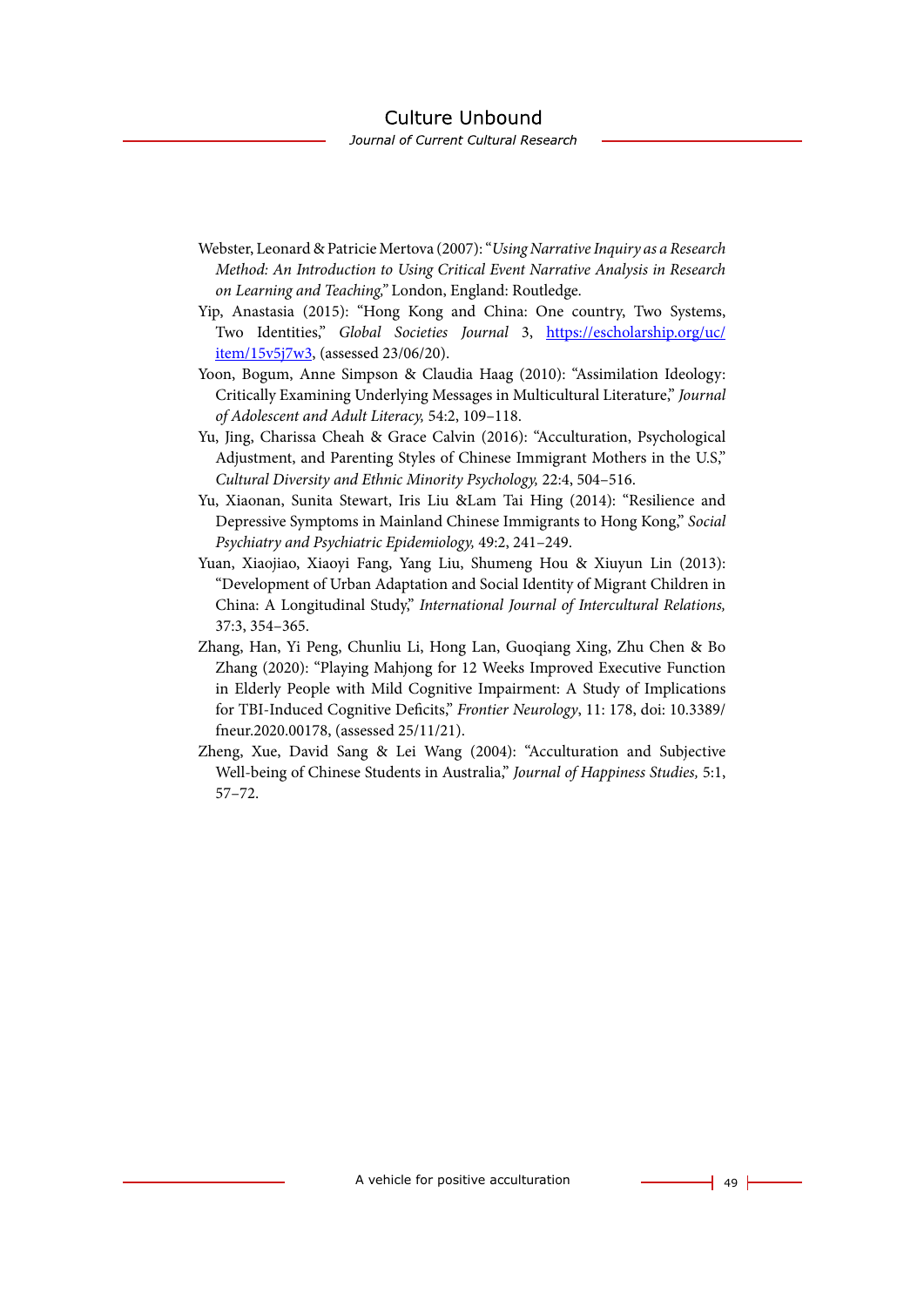- Webster, Leonard & Patricie Mertova (2007): "*Using Narrative Inquiry as a Research Method: An Introduction to Using Critical Event Narrative Analysis in Research on Learning and Teaching,"* London, England: Routledge.
- Yip, Anastasia (2015): "Hong Kong and China: One country, Two Systems, Two Identities," *Global Societies Journal* 3, [https://escholarship.org/uc/](https://escholarship.org/uc/item/15v5j7w3) [item/15v5j7w3](https://escholarship.org/uc/item/15v5j7w3), (assessed 23/06/20).
- Yoon, Bogum, Anne Simpson & Claudia Haag (2010): "Assimilation Ideology: Critically Examining Underlying Messages in Multicultural Literature," *Journal of Adolescent and Adult Literacy,* 54:2, 109–118.
- Yu, Jing, Charissa Cheah & Grace Calvin (2016): "Acculturation, Psychological Adjustment, and Parenting Styles of Chinese Immigrant Mothers in the U.S," *Cultural Diversity and Ethnic Minority Psychology,* 22:4, 504–516.
- Yu, Xiaonan, Sunita Stewart, Iris Liu &Lam Tai Hing (2014): "Resilience and Depressive Symptoms in Mainland Chinese Immigrants to Hong Kong," *Social Psychiatry and Psychiatric Epidemiology,* 49:2, 241–249.
- Yuan, Xiaojiao, Xiaoyi Fang, Yang Liu, Shumeng Hou & Xiuyun Lin (2013): "Development of Urban Adaptation and Social Identity of Migrant Children in China: A Longitudinal Study," *International Journal of Intercultural Relations,* 37:3, 354–365.
- Zhang, Han, Yi Peng, Chunliu Li, Hong Lan, Guoqiang Xing, Zhu Chen & Bo Zhang (2020): "Playing Mahjong for 12 Weeks Improved Executive Function in Elderly People with Mild Cognitive Impairment: A Study of Implications for TBI-Induced Cognitive Deficits," *Frontier Neurology*, 11: 178, doi: 10.3389/ fneur.2020.00178, (assessed 25/11/21).
- Zheng, Xue, David Sang & Lei Wang (2004): "Acculturation and Subjective Well-being of Chinese Students in Australia," *Journal of Happiness Studies,* 5:1, 57–72.